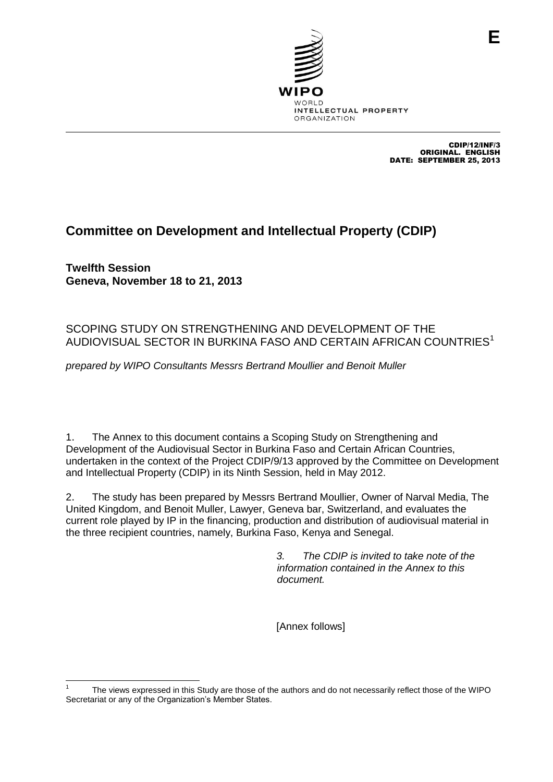

 CDIP/12/INF/3 ORIGINAL: ENGLISH DATE: 25/9/2013 ORIGINAL. ENGLISH DATE: SEPTEMBER 25, 2013

**E**

# **Committee on Development and Intellectual Property (CDIP)**

**Twelfth Session Geneva, November 18 to 21, 2013**

## SCOPING STUDY ON STRENGTHENING AND DEVELOPMENT OF THE AUDIOVISUAL SECTOR IN BURKINA FASO AND CERTAIN AFRICAN COUNTRIES<sup>1</sup>

*prepared by WIPO Consultants Messrs Bertrand Moullier and Benoit Muller*

1. The Annex to this document contains a Scoping Study on Strengthening and Development of the Audiovisual Sector in Burkina Faso and Certain African Countries, undertaken in the context of the Project CDIP/9/13 approved by the Committee on Development and Intellectual Property (CDIP) in its Ninth Session, held in May 2012.

2. The study has been prepared by Messrs Bertrand Moullier, Owner of Narval Media, The United Kingdom, and Benoit Muller, Lawyer, Geneva bar, Switzerland, and evaluates the current role played by IP in the financing, production and distribution of audiovisual material in the three recipient countries, namely, Burkina Faso, Kenya and Senegal.

> *3. The CDIP is invited to take note of the information contained in the Annex to this document.*

[Annex follows]

 1 The views expressed in this Study are those of the authors and do not necessarily reflect those of the WIPO Secretariat or any of the Organization's Member States.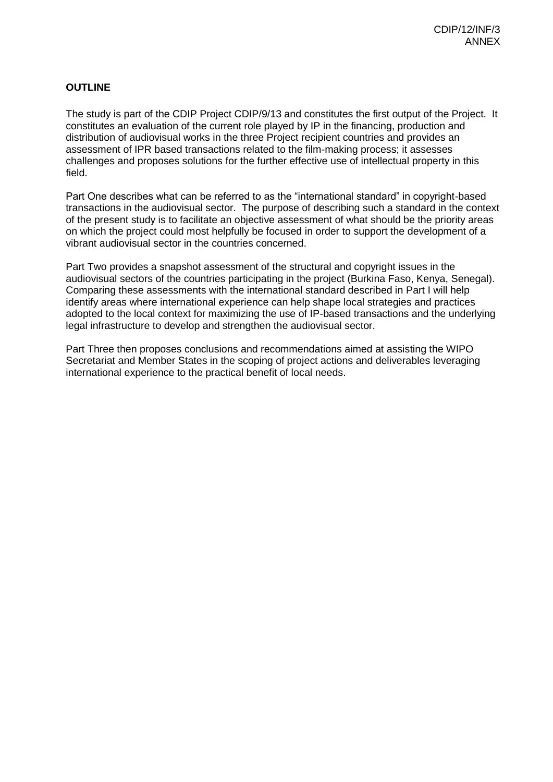## **OUTLINE**

The study is part of the CDIP Project CDIP/9/13 and constitutes the first output of the Project. It constitutes an evaluation of the current role played by IP in the financing, production and distribution of audiovisual works in the three Project recipient countries and provides an assessment of IPR based transactions related to the film-making process; it assesses challenges and proposes solutions for the further effective use of intellectual property in this field.

Part One describes what can be referred to as the "international standard" in copyright-based transactions in the audiovisual sector. The purpose of describing such a standard in the context of the present study is to facilitate an objective assessment of what should be the priority areas on which the project could most helpfully be focused in order to support the development of a vibrant audiovisual sector in the countries concerned.

Part Two provides a snapshot assessment of the structural and copyright issues in the audiovisual sectors of the countries participating in the project (Burkina Faso, Kenya, Senegal). Comparing these assessments with the international standard described in Part I will help identify areas where international experience can help shape local strategies and practices adopted to the local context for maximizing the use of IP-based transactions and the underlying legal infrastructure to develop and strengthen the audiovisual sector.

Part Three then proposes conclusions and recommendations aimed at assisting the WIPO Secretariat and Member States in the scoping of project actions and deliverables leveraging international experience to the practical benefit of local needs.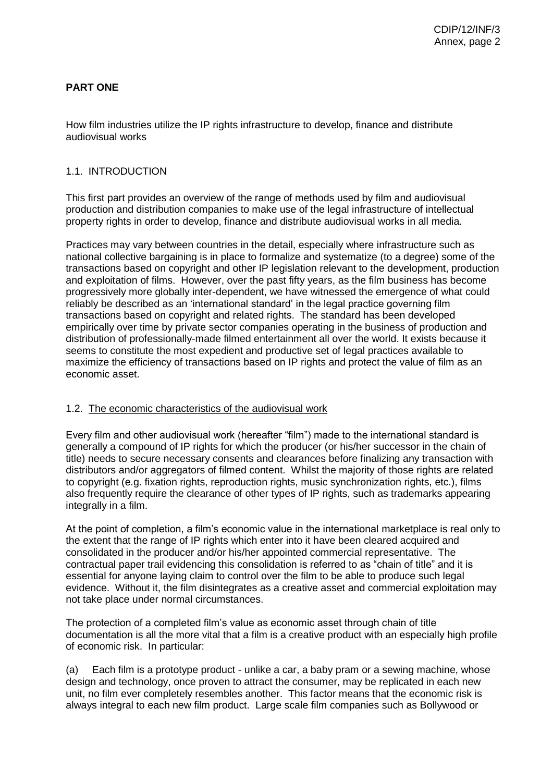## **PART ONE**

How film industries utilize the IP rights infrastructure to develop, finance and distribute audiovisual works

#### 1.1. INTRODUCTION

This first part provides an overview of the range of methods used by film and audiovisual production and distribution companies to make use of the legal infrastructure of intellectual property rights in order to develop, finance and distribute audiovisual works in all media.

Practices may vary between countries in the detail, especially where infrastructure such as national collective bargaining is in place to formalize and systematize (to a degree) some of the transactions based on copyright and other IP legislation relevant to the development, production and exploitation of films. However, over the past fifty years, as the film business has become progressively more globally inter-dependent, we have witnessed the emergence of what could reliably be described as an 'international standard' in the legal practice governing film transactions based on copyright and related rights. The standard has been developed empirically over time by private sector companies operating in the business of production and distribution of professionally-made filmed entertainment all over the world. It exists because it seems to constitute the most expedient and productive set of legal practices available to maximize the efficiency of transactions based on IP rights and protect the value of film as an economic asset.

#### 1.2. The economic characteristics of the audiovisual work

Every film and other audiovisual work (hereafter "film") made to the international standard is generally a compound of IP rights for which the producer (or his/her successor in the chain of title) needs to secure necessary consents and clearances before finalizing any transaction with distributors and/or aggregators of filmed content. Whilst the majority of those rights are related to copyright (e.g. fixation rights, reproduction rights, music synchronization rights, etc.), films also frequently require the clearance of other types of IP rights, such as trademarks appearing integrally in a film.

At the point of completion, a film's economic value in the international marketplace is real only to the extent that the range of IP rights which enter into it have been cleared acquired and consolidated in the producer and/or his/her appointed commercial representative. The contractual paper trail evidencing this consolidation is referred to as "chain of title" and it is essential for anyone laying claim to control over the film to be able to produce such legal evidence. Without it, the film disintegrates as a creative asset and commercial exploitation may not take place under normal circumstances.

The protection of a completed film's value as economic asset through chain of title documentation is all the more vital that a film is a creative product with an especially high profile of economic risk. In particular:

(a) Each film is a prototype product - unlike a car, a baby pram or a sewing machine, whose design and technology, once proven to attract the consumer, may be replicated in each new unit, no film ever completely resembles another. This factor means that the economic risk is always integral to each new film product. Large scale film companies such as Bollywood or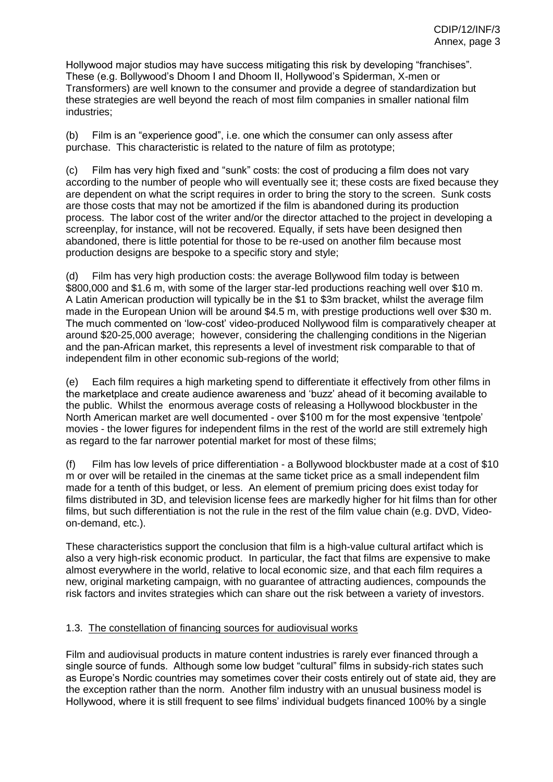Hollywood major studios may have success mitigating this risk by developing "franchises". These (e.g. Bollywood's Dhoom I and Dhoom II, Hollywood's Spiderman, X-men or Transformers) are well known to the consumer and provide a degree of standardization but these strategies are well beyond the reach of most film companies in smaller national film industries;

(b) Film is an "experience good", i.e. one which the consumer can only assess after purchase. This characteristic is related to the nature of film as prototype;

(c) Film has very high fixed and "sunk" costs: the cost of producing a film does not vary according to the number of people who will eventually see it; these costs are fixed because they are dependent on what the script requires in order to bring the story to the screen. Sunk costs are those costs that may not be amortized if the film is abandoned during its production process. The labor cost of the writer and/or the director attached to the project in developing a screenplay, for instance, will not be recovered. Equally, if sets have been designed then abandoned, there is little potential for those to be re-used on another film because most production designs are bespoke to a specific story and style;

(d) Film has very high production costs: the average Bollywood film today is between \$800,000 and \$1.6 m, with some of the larger star-led productions reaching well over \$10 m. A Latin American production will typically be in the \$1 to \$3m bracket, whilst the average film made in the European Union will be around \$4.5 m, with prestige productions well over \$30 m. The much commented on 'low-cost' video-produced Nollywood film is comparatively cheaper at around \$20-25,000 average; however, considering the challenging conditions in the Nigerian and the pan-African market, this represents a level of investment risk comparable to that of independent film in other economic sub-regions of the world;

(e) Each film requires a high marketing spend to differentiate it effectively from other films in the marketplace and create audience awareness and 'buzz' ahead of it becoming available to the public. Whilst the enormous average costs of releasing a Hollywood blockbuster in the North American market are well documented - over \$100 m for the most expensive 'tentpole' movies - the lower figures for independent films in the rest of the world are still extremely high as regard to the far narrower potential market for most of these films;

(f) Film has low levels of price differentiation - a Bollywood blockbuster made at a cost of \$10 m or over will be retailed in the cinemas at the same ticket price as a small independent film made for a tenth of this budget, or less. An element of premium pricing does exist today for films distributed in 3D, and television license fees are markedly higher for hit films than for other films, but such differentiation is not the rule in the rest of the film value chain (e.g. DVD, Videoon-demand, etc.).

These characteristics support the conclusion that film is a high-value cultural artifact which is also a very high-risk economic product. In particular, the fact that films are expensive to make almost everywhere in the world, relative to local economic size, and that each film requires a new, original marketing campaign, with no guarantee of attracting audiences, compounds the risk factors and invites strategies which can share out the risk between a variety of investors.

#### 1.3. The constellation of financing sources for audiovisual works

Film and audiovisual products in mature content industries is rarely ever financed through a single source of funds. Although some low budget "cultural" films in subsidy-rich states such as Europe's Nordic countries may sometimes cover their costs entirely out of state aid, they are the exception rather than the norm. Another film industry with an unusual business model is Hollywood, where it is still frequent to see films' individual budgets financed 100% by a single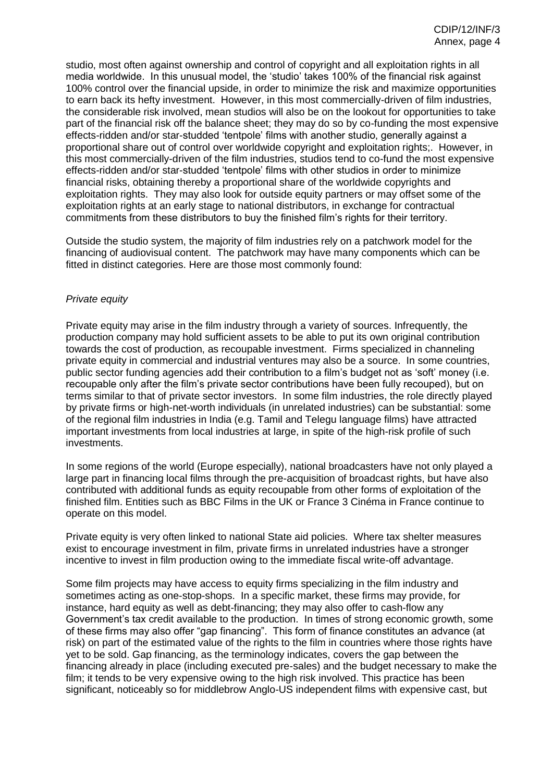studio, most often against ownership and control of copyright and all exploitation rights in all media worldwide. In this unusual model, the 'studio' takes 100% of the financial risk against 100% control over the financial upside, in order to minimize the risk and maximize opportunities to earn back its hefty investment. However, in this most commercially-driven of film industries, the considerable risk involved, mean studios will also be on the lookout for opportunities to take part of the financial risk off the balance sheet; they may do so by co-funding the most expensive effects-ridden and/or star-studded 'tentpole' films with another studio, generally against a proportional share out of control over worldwide copyright and exploitation rights;. However, in this most commercially-driven of the film industries, studios tend to co-fund the most expensive effects-ridden and/or star-studded 'tentpole' films with other studios in order to minimize financial risks, obtaining thereby a proportional share of the worldwide copyrights and exploitation rights. They may also look for outside equity partners or may offset some of the exploitation rights at an early stage to national distributors, in exchange for contractual commitments from these distributors to buy the finished film's rights for their territory.

Outside the studio system, the majority of film industries rely on a patchwork model for the financing of audiovisual content. The patchwork may have many components which can be fitted in distinct categories. Here are those most commonly found:

#### *Private equity*

Private equity may arise in the film industry through a variety of sources. Infrequently, the production company may hold sufficient assets to be able to put its own original contribution towards the cost of production, as recoupable investment. Firms specialized in channeling private equity in commercial and industrial ventures may also be a source. In some countries, public sector funding agencies add their contribution to a film's budget not as 'soft' money (i.e. recoupable only after the film's private sector contributions have been fully recouped), but on terms similar to that of private sector investors. In some film industries, the role directly played by private firms or high-net-worth individuals (in unrelated industries) can be substantial: some of the regional film industries in India (e.g. Tamil and Telegu language films) have attracted important investments from local industries at large, in spite of the high-risk profile of such investments.

In some regions of the world (Europe especially), national broadcasters have not only played a large part in financing local films through the pre-acquisition of broadcast rights, but have also contributed with additional funds as equity recoupable from other forms of exploitation of the finished film. Entities such as BBC Films in the UK or France 3 Cinéma in France continue to operate on this model.

Private equity is very often linked to national State aid policies. Where tax shelter measures exist to encourage investment in film, private firms in unrelated industries have a stronger incentive to invest in film production owing to the immediate fiscal write-off advantage.

Some film projects may have access to equity firms specializing in the film industry and sometimes acting as one-stop-shops. In a specific market, these firms may provide, for instance, hard equity as well as debt-financing; they may also offer to cash-flow any Government's tax credit available to the production. In times of strong economic growth, some of these firms may also offer "gap financing". This form of finance constitutes an advance (at risk) on part of the estimated value of the rights to the film in countries where those rights have yet to be sold. Gap financing, as the terminology indicates, covers the gap between the financing already in place (including executed pre-sales) and the budget necessary to make the film; it tends to be very expensive owing to the high risk involved. This practice has been significant, noticeably so for middlebrow Anglo-US independent films with expensive cast, but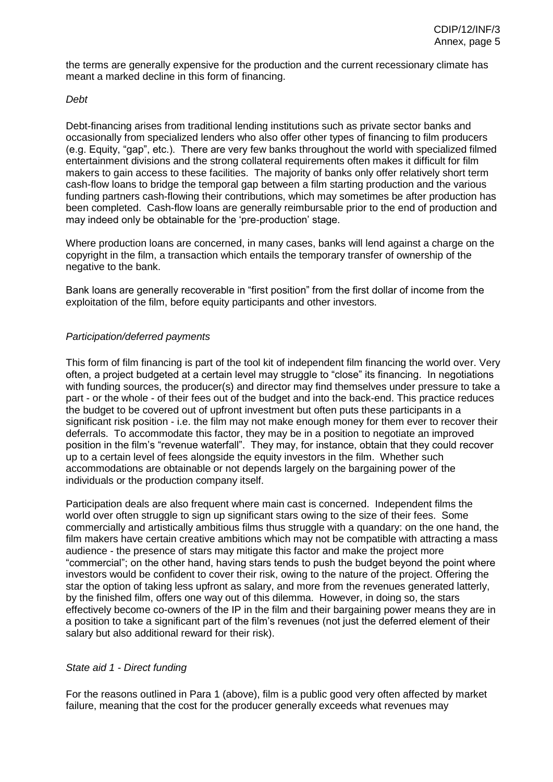the terms are generally expensive for the production and the current recessionary climate has meant a marked decline in this form of financing.

#### *Debt*

Debt-financing arises from traditional lending institutions such as private sector banks and occasionally from specialized lenders who also offer other types of financing to film producers (e.g. Equity, "gap", etc.). There are very few banks throughout the world with specialized filmed entertainment divisions and the strong collateral requirements often makes it difficult for film makers to gain access to these facilities. The majority of banks only offer relatively short term cash-flow loans to bridge the temporal gap between a film starting production and the various funding partners cash-flowing their contributions, which may sometimes be after production has been completed. Cash-flow loans are generally reimbursable prior to the end of production and may indeed only be obtainable for the 'pre-production' stage.

Where production loans are concerned, in many cases, banks will lend against a charge on the copyright in the film, a transaction which entails the temporary transfer of ownership of the negative to the bank.

Bank loans are generally recoverable in "first position" from the first dollar of income from the exploitation of the film, before equity participants and other investors.

#### *Participation/deferred payments*

This form of film financing is part of the tool kit of independent film financing the world over. Very often, a project budgeted at a certain level may struggle to "close" its financing. In negotiations with funding sources, the producer(s) and director may find themselves under pressure to take a part - or the whole - of their fees out of the budget and into the back-end. This practice reduces the budget to be covered out of upfront investment but often puts these participants in a significant risk position - i.e. the film may not make enough money for them ever to recover their deferrals. To accommodate this factor, they may be in a position to negotiate an improved position in the film's "revenue waterfall". They may, for instance, obtain that they could recover up to a certain level of fees alongside the equity investors in the film. Whether such accommodations are obtainable or not depends largely on the bargaining power of the individuals or the production company itself.

Participation deals are also frequent where main cast is concerned. Independent films the world over often struggle to sign up significant stars owing to the size of their fees. Some commercially and artistically ambitious films thus struggle with a quandary: on the one hand, the film makers have certain creative ambitions which may not be compatible with attracting a mass audience - the presence of stars may mitigate this factor and make the project more "commercial"; on the other hand, having stars tends to push the budget beyond the point where investors would be confident to cover their risk, owing to the nature of the project. Offering the star the option of taking less upfront as salary, and more from the revenues generated latterly, by the finished film, offers one way out of this dilemma. However, in doing so, the stars effectively become co-owners of the IP in the film and their bargaining power means they are in a position to take a significant part of the film's revenues (not just the deferred element of their salary but also additional reward for their risk).

#### *State aid 1 - Direct funding*

For the reasons outlined in Para 1 (above), film is a public good very often affected by market failure, meaning that the cost for the producer generally exceeds what revenues may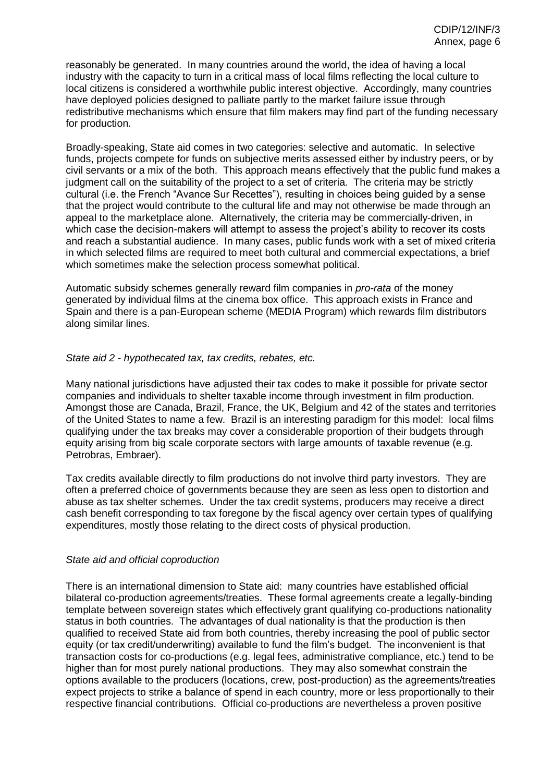reasonably be generated. In many countries around the world, the idea of having a local industry with the capacity to turn in a critical mass of local films reflecting the local culture to local citizens is considered a worthwhile public interest objective. Accordingly, many countries have deployed policies designed to palliate partly to the market failure issue through redistributive mechanisms which ensure that film makers may find part of the funding necessary for production.

Broadly-speaking, State aid comes in two categories: selective and automatic. In selective funds, projects compete for funds on subjective merits assessed either by industry peers, or by civil servants or a mix of the both. This approach means effectively that the public fund makes a judgment call on the suitability of the project to a set of criteria. The criteria may be strictly cultural (i.e. the French "Avance Sur Recettes"), resulting in choices being guided by a sense that the project would contribute to the cultural life and may not otherwise be made through an appeal to the marketplace alone. Alternatively, the criteria may be commercially-driven, in which case the decision-makers will attempt to assess the project's ability to recover its costs and reach a substantial audience. In many cases, public funds work with a set of mixed criteria in which selected films are required to meet both cultural and commercial expectations, a brief which sometimes make the selection process somewhat political.

Automatic subsidy schemes generally reward film companies in *pro-rata* of the money generated by individual films at the cinema box office. This approach exists in France and Spain and there is a pan-European scheme (MEDIA Program) which rewards film distributors along similar lines.

*State aid 2 - hypothecated tax, tax credits, rebates, etc.*

Many national jurisdictions have adjusted their tax codes to make it possible for private sector companies and individuals to shelter taxable income through investment in film production. Amongst those are Canada, Brazil, France, the UK, Belgium and 42 of the states and territories of the United States to name a few. Brazil is an interesting paradigm for this model: local films qualifying under the tax breaks may cover a considerable proportion of their budgets through equity arising from big scale corporate sectors with large amounts of taxable revenue (e.g. Petrobras, Embraer).

Tax credits available directly to film productions do not involve third party investors. They are often a preferred choice of governments because they are seen as less open to distortion and abuse as tax shelter schemes. Under the tax credit systems, producers may receive a direct cash benefit corresponding to tax foregone by the fiscal agency over certain types of qualifying expenditures, mostly those relating to the direct costs of physical production.

#### *State aid and official coproduction*

There is an international dimension to State aid: many countries have established official bilateral co-production agreements/treaties. These formal agreements create a legally-binding template between sovereign states which effectively grant qualifying co-productions nationality status in both countries. The advantages of dual nationality is that the production is then qualified to received State aid from both countries, thereby increasing the pool of public sector equity (or tax credit/underwriting) available to fund the film's budget. The inconvenient is that transaction costs for co-productions (e.g. legal fees, administrative compliance, etc.) tend to be higher than for most purely national productions. They may also somewhat constrain the options available to the producers (locations, crew, post-production) as the agreements/treaties expect projects to strike a balance of spend in each country, more or less proportionally to their respective financial contributions. Official co-productions are nevertheless a proven positive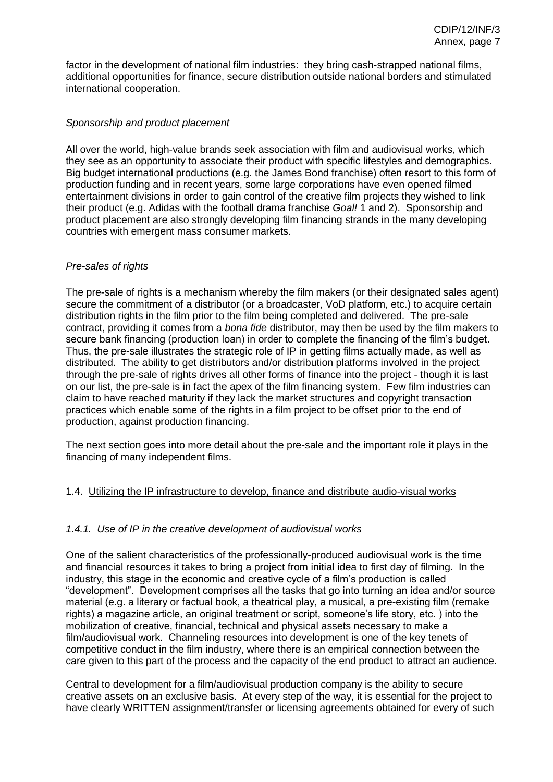factor in the development of national film industries: they bring cash-strapped national films, additional opportunities for finance, secure distribution outside national borders and stimulated international cooperation.

#### *Sponsorship and product placement*

All over the world, high-value brands seek association with film and audiovisual works, which they see as an opportunity to associate their product with specific lifestyles and demographics. Big budget international productions (e.g. the James Bond franchise) often resort to this form of production funding and in recent years, some large corporations have even opened filmed entertainment divisions in order to gain control of the creative film projects they wished to link their product (e.g. Adidas with the football drama franchise *Goal!* 1 and 2). Sponsorship and product placement are also strongly developing film financing strands in the many developing countries with emergent mass consumer markets.

#### *Pre-sales of rights*

The pre-sale of rights is a mechanism whereby the film makers (or their designated sales agent) secure the commitment of a distributor (or a broadcaster, VoD platform, etc.) to acquire certain distribution rights in the film prior to the film being completed and delivered. The pre-sale contract, providing it comes from a *bona fide* distributor, may then be used by the film makers to secure bank financing (production loan) in order to complete the financing of the film's budget. Thus, the pre-sale illustrates the strategic role of IP in getting films actually made, as well as distributed. The ability to get distributors and/or distribution platforms involved in the project through the pre-sale of rights drives all other forms of finance into the project - though it is last on our list, the pre-sale is in fact the apex of the film financing system. Few film industries can claim to have reached maturity if they lack the market structures and copyright transaction practices which enable some of the rights in a film project to be offset prior to the end of production, against production financing.

The next section goes into more detail about the pre-sale and the important role it plays in the financing of many independent films.

#### 1.4. Utilizing the IP infrastructure to develop, finance and distribute audio-visual works

#### *1.4.1. Use of IP in the creative development of audiovisual works*

One of the salient characteristics of the professionally-produced audiovisual work is the time and financial resources it takes to bring a project from initial idea to first day of filming. In the industry, this stage in the economic and creative cycle of a film's production is called "development". Development comprises all the tasks that go into turning an idea and/or source material (e.g. a literary or factual book, a theatrical play, a musical, a pre-existing film (remake rights) a magazine article, an original treatment or script, someone's life story, etc. ) into the mobilization of creative, financial, technical and physical assets necessary to make a film/audiovisual work. Channeling resources into development is one of the key tenets of competitive conduct in the film industry, where there is an empirical connection between the care given to this part of the process and the capacity of the end product to attract an audience.

Central to development for a film/audiovisual production company is the ability to secure creative assets on an exclusive basis. At every step of the way, it is essential for the project to have clearly WRITTEN assignment/transfer or licensing agreements obtained for every of such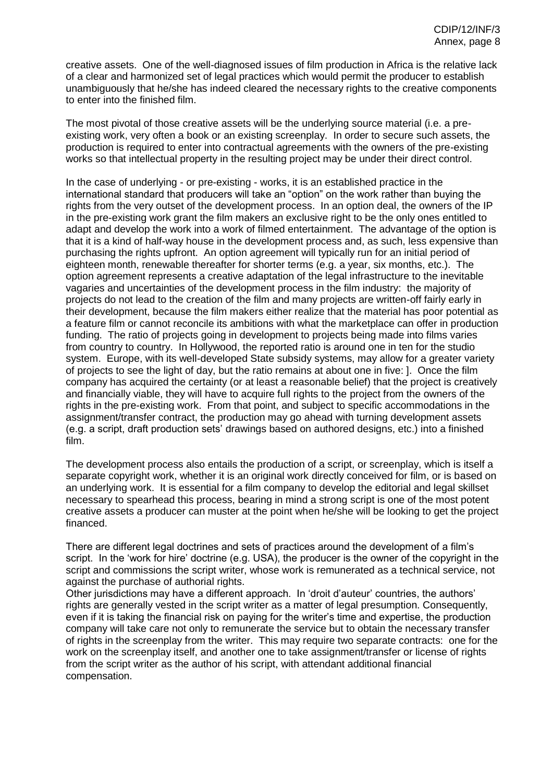creative assets. One of the well-diagnosed issues of film production in Africa is the relative lack of a clear and harmonized set of legal practices which would permit the producer to establish unambiguously that he/she has indeed cleared the necessary rights to the creative components to enter into the finished film.

The most pivotal of those creative assets will be the underlying source material (i.e. a preexisting work, very often a book or an existing screenplay. In order to secure such assets, the production is required to enter into contractual agreements with the owners of the pre-existing works so that intellectual property in the resulting project may be under their direct control.

In the case of underlying - or pre-existing - works, it is an established practice in the international standard that producers will take an "option" on the work rather than buying the rights from the very outset of the development process. In an option deal, the owners of the IP in the pre-existing work grant the film makers an exclusive right to be the only ones entitled to adapt and develop the work into a work of filmed entertainment. The advantage of the option is that it is a kind of half-way house in the development process and, as such, less expensive than purchasing the rights upfront. An option agreement will typically run for an initial period of eighteen month, renewable thereafter for shorter terms (e.g. a year, six months, etc.). The option agreement represents a creative adaptation of the legal infrastructure to the inevitable vagaries and uncertainties of the development process in the film industry: the majority of projects do not lead to the creation of the film and many projects are written-off fairly early in their development, because the film makers either realize that the material has poor potential as a feature film or cannot reconcile its ambitions with what the marketplace can offer in production funding. The ratio of projects going in development to projects being made into films varies from country to country. In Hollywood, the reported ratio is around one in ten for the studio system. Europe, with its well-developed State subsidy systems, may allow for a greater variety of projects to see the light of day, but the ratio remains at about one in five: ]. Once the film company has acquired the certainty (or at least a reasonable belief) that the project is creatively and financially viable, they will have to acquire full rights to the project from the owners of the rights in the pre-existing work. From that point, and subject to specific accommodations in the assignment/transfer contract, the production may go ahead with turning development assets (e.g. a script, draft production sets' drawings based on authored designs, etc.) into a finished film.

The development process also entails the production of a script, or screenplay, which is itself a separate copyright work, whether it is an original work directly conceived for film, or is based on an underlying work. It is essential for a film company to develop the editorial and legal skillset necessary to spearhead this process, bearing in mind a strong script is one of the most potent creative assets a producer can muster at the point when he/she will be looking to get the project financed.

There are different legal doctrines and sets of practices around the development of a film's script. In the 'work for hire' doctrine (e.g. USA), the producer is the owner of the copyright in the script and commissions the script writer, whose work is remunerated as a technical service, not against the purchase of authorial rights.

Other jurisdictions may have a different approach. In 'droit d'auteur' countries, the authors' rights are generally vested in the script writer as a matter of legal presumption. Consequently, even if it is taking the financial risk on paying for the writer's time and expertise, the production company will take care not only to remunerate the service but to obtain the necessary transfer of rights in the screenplay from the writer. This may require two separate contracts: one for the work on the screenplay itself, and another one to take assignment/transfer or license of rights from the script writer as the author of his script, with attendant additional financial compensation.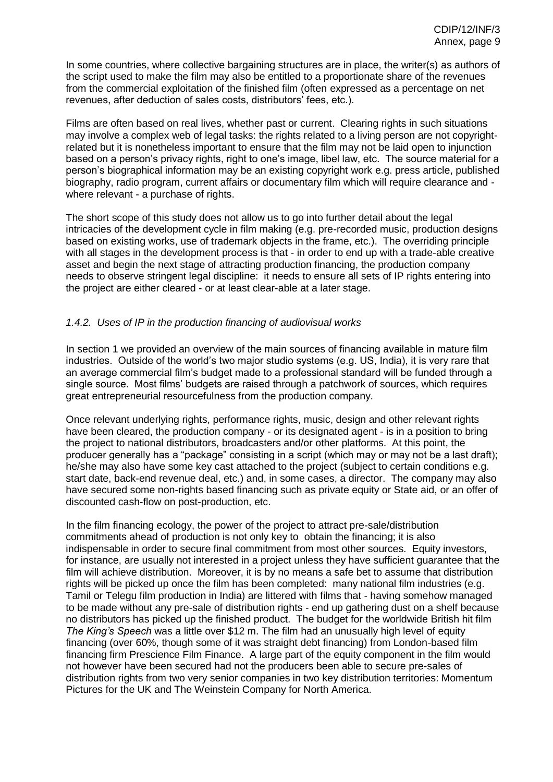In some countries, where collective bargaining structures are in place, the writer(s) as authors of the script used to make the film may also be entitled to a proportionate share of the revenues from the commercial exploitation of the finished film (often expressed as a percentage on net revenues, after deduction of sales costs, distributors' fees, etc.).

Films are often based on real lives, whether past or current. Clearing rights in such situations may involve a complex web of legal tasks: the rights related to a living person are not copyrightrelated but it is nonetheless important to ensure that the film may not be laid open to injunction based on a person's privacy rights, right to one's image, libel law, etc. The source material for a person's biographical information may be an existing copyright work e.g. press article, published biography, radio program, current affairs or documentary film which will require clearance and where relevant - a purchase of rights.

The short scope of this study does not allow us to go into further detail about the legal intricacies of the development cycle in film making (e.g. pre-recorded music, production designs based on existing works, use of trademark objects in the frame, etc.). The overriding principle with all stages in the development process is that - in order to end up with a trade-able creative asset and begin the next stage of attracting production financing, the production company needs to observe stringent legal discipline: it needs to ensure all sets of IP rights entering into the project are either cleared - or at least clear-able at a later stage.

#### *1.4.2. Uses of IP in the production financing of audiovisual works*

In section 1 we provided an overview of the main sources of financing available in mature film industries. Outside of the world's two major studio systems (e.g. US, India), it is very rare that an average commercial film's budget made to a professional standard will be funded through a single source. Most films' budgets are raised through a patchwork of sources, which requires great entrepreneurial resourcefulness from the production company.

Once relevant underlying rights, performance rights, music, design and other relevant rights have been cleared, the production company - or its designated agent - is in a position to bring the project to national distributors, broadcasters and/or other platforms. At this point, the producer generally has a "package" consisting in a script (which may or may not be a last draft); he/she may also have some key cast attached to the project (subject to certain conditions e.g. start date, back-end revenue deal, etc.) and, in some cases, a director. The company may also have secured some non-rights based financing such as private equity or State aid, or an offer of discounted cash-flow on post-production, etc.

In the film financing ecology, the power of the project to attract pre-sale/distribution commitments ahead of production is not only key to obtain the financing; it is also indispensable in order to secure final commitment from most other sources. Equity investors, for instance, are usually not interested in a project unless they have sufficient guarantee that the film will achieve distribution. Moreover, it is by no means a safe bet to assume that distribution rights will be picked up once the film has been completed: many national film industries (e.g. Tamil or Telegu film production in India) are littered with films that - having somehow managed to be made without any pre-sale of distribution rights - end up gathering dust on a shelf because no distributors has picked up the finished product. The budget for the worldwide British hit film *The King's Speech* was a little over \$12 m. The film had an unusually high level of equity financing (over 60%, though some of it was straight debt financing) from London-based film financing firm Prescience Film Finance. A large part of the equity component in the film would not however have been secured had not the producers been able to secure pre-sales of distribution rights from two very senior companies in two key distribution territories: Momentum Pictures for the UK and The Weinstein Company for North America.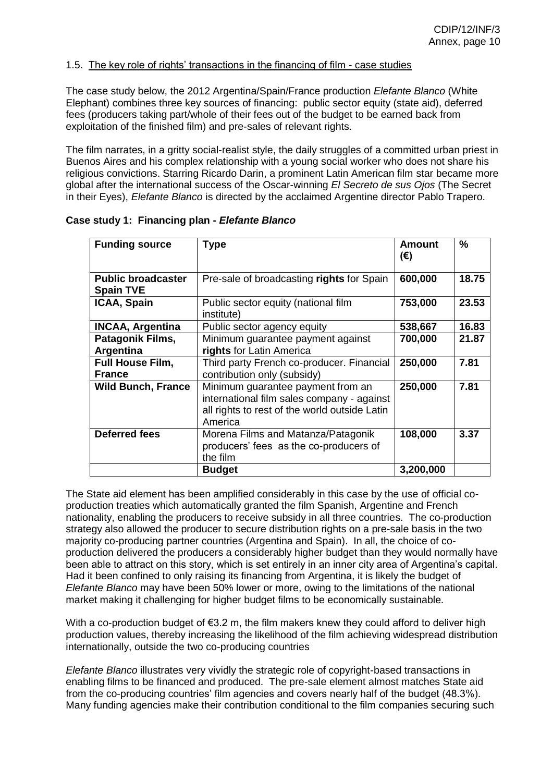#### 1.5. The key role of rights' transactions in the financing of film - case studies

The case study below, the 2012 Argentina/Spain/France production *Elefante Blanco* (White Elephant) combines three key sources of financing: public sector equity (state aid), deferred fees (producers taking part/whole of their fees out of the budget to be earned back from exploitation of the finished film) and pre-sales of relevant rights.

The film narrates, in a gritty social-realist style, the daily struggles of a committed urban priest in Buenos Aires and his complex relationship with a young social worker who does not share his religious convictions. Starring Ricardo Darin, a prominent Latin American film star became more global after the international success of the Oscar-winning *El Secreto de sus Ojos* (The Secret in their Eyes), *Elefante Blanco* is directed by the acclaimed Argentine director Pablo Trapero.

| <b>Funding source</b>                         | <b>Type</b>                                                                                                                                 | Amount<br>$(\epsilon)$ | $\%$  |
|-----------------------------------------------|---------------------------------------------------------------------------------------------------------------------------------------------|------------------------|-------|
| <b>Public broadcaster</b><br><b>Spain TVE</b> | Pre-sale of broadcasting rights for Spain                                                                                                   | 600,000                | 18.75 |
| <b>ICAA, Spain</b>                            | Public sector equity (national film<br>institute)                                                                                           | 753,000                | 23.53 |
| <b>INCAA, Argentina</b>                       | Public sector agency equity                                                                                                                 | 538,667                | 16.83 |
| Patagonik Films,                              | Minimum guarantee payment against                                                                                                           | 700,000                | 21.87 |
| Argentina                                     | rights for Latin America                                                                                                                    |                        |       |
| <b>Full House Film,</b>                       | Third party French co-producer. Financial                                                                                                   | 250,000                | 7.81  |
| <b>France</b>                                 | contribution only (subsidy)                                                                                                                 |                        |       |
| <b>Wild Bunch, France</b>                     | Minimum guarantee payment from an<br>international film sales company - against<br>all rights to rest of the world outside Latin<br>America | 250,000                | 7.81  |
| <b>Deferred fees</b>                          | Morena Films and Matanza/Patagonik<br>producers' fees as the co-producers of<br>the film                                                    | 108,000                | 3.37  |
|                                               | <b>Budget</b>                                                                                                                               | 3,200,000              |       |

**Case study 1: Financing plan -** *Elefante Blanco*

The State aid element has been amplified considerably in this case by the use of official coproduction treaties which automatically granted the film Spanish, Argentine and French nationality, enabling the producers to receive subsidy in all three countries. The co-production strategy also allowed the producer to secure distribution rights on a pre-sale basis in the two majority co-producing partner countries (Argentina and Spain). In all, the choice of coproduction delivered the producers a considerably higher budget than they would normally have been able to attract on this story, which is set entirely in an inner city area of Argentina's capital. Had it been confined to only raising its financing from Argentina, it is likely the budget of *Elefante Blanco* may have been 50% lower or more, owing to the limitations of the national market making it challenging for higher budget films to be economically sustainable.

With a co-production budget of  $\epsilon$ 3.2 m, the film makers knew they could afford to deliver high production values, thereby increasing the likelihood of the film achieving widespread distribution internationally, outside the two co-producing countries

*Elefante Blanco* illustrates very vividly the strategic role of copyright-based transactions in enabling films to be financed and produced. The pre-sale element almost matches State aid from the co-producing countries' film agencies and covers nearly half of the budget (48.3%). Many funding agencies make their contribution conditional to the film companies securing such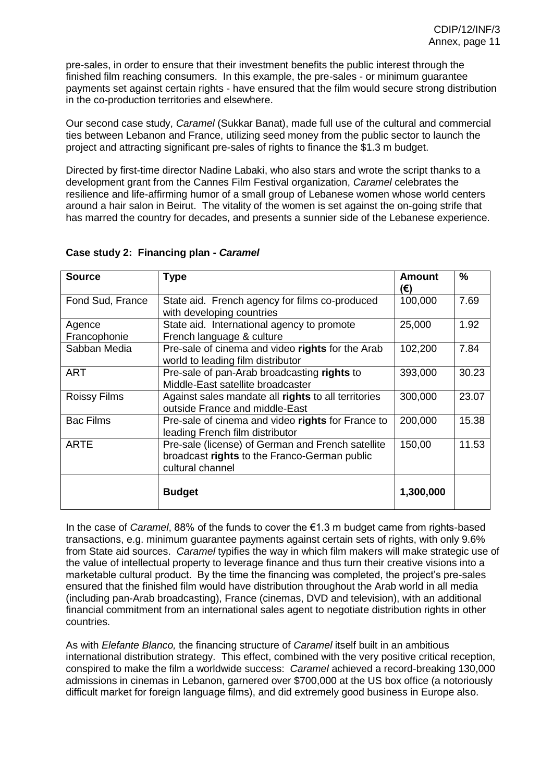pre-sales, in order to ensure that their investment benefits the public interest through the finished film reaching consumers. In this example, the pre-sales - or minimum guarantee payments set against certain rights - have ensured that the film would secure strong distribution in the co-production territories and elsewhere.

Our second case study, *Caramel* (Sukkar Banat), made full use of the cultural and commercial ties between Lebanon and France, utilizing seed money from the public sector to launch the project and attracting significant pre-sales of rights to finance the \$1.3 m budget.

Directed by first-time director Nadine Labaki, who also stars and wrote the script thanks to a development grant from the Cannes Film Festival organization, *Caramel* celebrates the resilience and life-affirming humor of a small group of Lebanese women whose world centers around a hair salon in Beirut. The vitality of the women is set against the on-going strife that has marred the country for decades, and presents a sunnier side of the Lebanese experience.

| <b>Source</b>                                                                                                                        | <b>Type</b>                                                                           | <b>Amount</b><br>(€) | ℅     |
|--------------------------------------------------------------------------------------------------------------------------------------|---------------------------------------------------------------------------------------|----------------------|-------|
| Fond Sud, France                                                                                                                     | State aid. French agency for films co-produced<br>with developing countries           | 100,000              | 7.69  |
| Agence<br>Francophonie                                                                                                               | State aid. International agency to promote<br>French language & culture               | 25,000               | 1.92  |
| Sabban Media                                                                                                                         | Pre-sale of cinema and video rights for the Arab<br>world to leading film distributor | 102,200              | 7.84  |
| <b>ART</b>                                                                                                                           | Pre-sale of pan-Arab broadcasting rights to<br>Middle-East satellite broadcaster      | 393,000              | 30.23 |
| <b>Roissy Films</b>                                                                                                                  | Against sales mandate all rights to all territories<br>outside France and middle-East | 300,000              | 23.07 |
| <b>Bac Films</b>                                                                                                                     | Pre-sale of cinema and video rights for France to<br>leading French film distributor  | 200,000              | 15.38 |
| <b>ARTE</b><br>Pre-sale (license) of German and French satellite<br>broadcast rights to the Franco-German public<br>cultural channel |                                                                                       | 150,00               | 11.53 |
|                                                                                                                                      | <b>Budget</b>                                                                         | 1,300,000            |       |

## **Case study 2: Financing plan -** *Caramel*

In the case of *Caramel*, 88% of the funds to cover the €1.3 m budget came from rights-based transactions, e.g. minimum guarantee payments against certain sets of rights, with only 9.6% from State aid sources. *Caramel* typifies the way in which film makers will make strategic use of the value of intellectual property to leverage finance and thus turn their creative visions into a marketable cultural product. By the time the financing was completed, the project's pre-sales ensured that the finished film would have distribution throughout the Arab world in all media (including pan-Arab broadcasting), France (cinemas, DVD and television), with an additional financial commitment from an international sales agent to negotiate distribution rights in other countries.

As with *Elefante Blanco,* the financing structure of *Caramel* itself built in an ambitious international distribution strategy. This effect, combined with the very positive critical reception, conspired to make the film a worldwide success: *Caramel* achieved a record-breaking 130,000 admissions in cinemas in Lebanon, garnered over \$700,000 at the US box office (a notoriously difficult market for foreign language films), and did extremely good business in Europe also.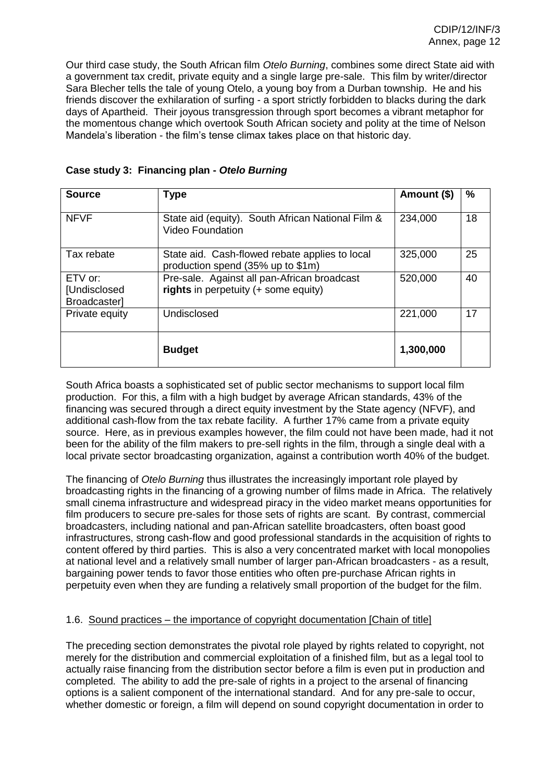Our third case study, the South African film *Otelo Burning*, combines some direct State aid with a government tax credit, private equity and a single large pre-sale. This film by writer/director Sara Blecher tells the tale of young Otelo, a young boy from a Durban township. He and his friends discover the exhilaration of surfing - a sport strictly forbidden to blacks during the dark days of Apartheid. Their joyous transgression through sport becomes a vibrant metaphor for the momentous change which overtook South African society and polity at the time of Nelson Mandela's liberation - the film's tense climax takes place on that historic day.

| <b>Source</b>                             | <b>Type</b>                                                                         | Amount (\$) | ℅  |
|-------------------------------------------|-------------------------------------------------------------------------------------|-------------|----|
| <b>NFVF</b>                               | State aid (equity). South African National Film &<br><b>Video Foundation</b>        | 234,000     | 18 |
| Tax rebate                                | State aid. Cash-flowed rebate applies to local<br>production spend (35% up to \$1m) | 325,000     | 25 |
| $ETV$ or:<br>[Undisclosed<br>Broadcaster] | Pre-sale. Against all pan-African broadcast<br>rights in perpetuity (+ some equity) | 520,000     | 40 |
| Private equity                            | Undisclosed                                                                         | 221,000     | 17 |
|                                           | <b>Budget</b>                                                                       | 1,300,000   |    |

|  | Case study 3: Financing plan - Otelo Burning |  |
|--|----------------------------------------------|--|
|--|----------------------------------------------|--|

South Africa boasts a sophisticated set of public sector mechanisms to support local film production. For this, a film with a high budget by average African standards, 43% of the financing was secured through a direct equity investment by the State agency (NFVF), and additional cash-flow from the tax rebate facility. A further 17% came from a private equity source. Here, as in previous examples however, the film could not have been made, had it not been for the ability of the film makers to pre-sell rights in the film, through a single deal with a local private sector broadcasting organization, against a contribution worth 40% of the budget.

The financing of *Otelo Burning* thus illustrates the increasingly important role played by broadcasting rights in the financing of a growing number of films made in Africa. The relatively small cinema infrastructure and widespread piracy in the video market means opportunities for film producers to secure pre-sales for those sets of rights are scant. By contrast, commercial broadcasters, including national and pan-African satellite broadcasters, often boast good infrastructures, strong cash-flow and good professional standards in the acquisition of rights to content offered by third parties. This is also a very concentrated market with local monopolies at national level and a relatively small number of larger pan-African broadcasters - as a result, bargaining power tends to favor those entities who often pre-purchase African rights in perpetuity even when they are funding a relatively small proportion of the budget for the film.

#### 1.6. Sound practices – the importance of copyright documentation [Chain of title]

The preceding section demonstrates the pivotal role played by rights related to copyright, not merely for the distribution and commercial exploitation of a finished film, but as a legal tool to actually raise financing from the distribution sector before a film is even put in production and completed. The ability to add the pre-sale of rights in a project to the arsenal of financing options is a salient component of the international standard. And for any pre-sale to occur, whether domestic or foreign, a film will depend on sound copyright documentation in order to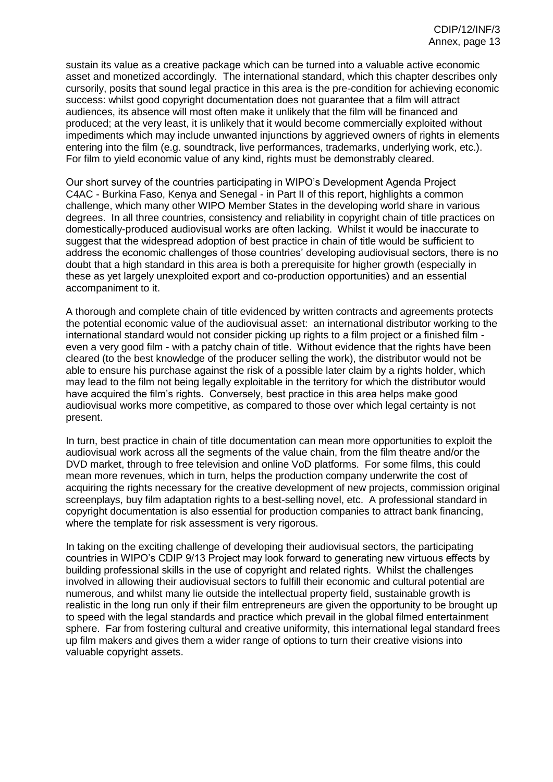sustain its value as a creative package which can be turned into a valuable active economic asset and monetized accordingly. The international standard, which this chapter describes only cursorily, posits that sound legal practice in this area is the pre-condition for achieving economic success: whilst good copyright documentation does not guarantee that a film will attract audiences, its absence will most often make it unlikely that the film will be financed and produced; at the very least, it is unlikely that it would become commercially exploited without impediments which may include unwanted injunctions by aggrieved owners of rights in elements entering into the film (e.g. soundtrack, live performances, trademarks, underlying work, etc.). For film to yield economic value of any kind, rights must be demonstrably cleared.

Our short survey of the countries participating in WIPO's Development Agenda Project C4AC - Burkina Faso, Kenya and Senegal - in Part II of this report, highlights a common challenge, which many other WIPO Member States in the developing world share in various degrees. In all three countries, consistency and reliability in copyright chain of title practices on domestically-produced audiovisual works are often lacking. Whilst it would be inaccurate to suggest that the widespread adoption of best practice in chain of title would be sufficient to address the economic challenges of those countries' developing audiovisual sectors, there is no doubt that a high standard in this area is both a prerequisite for higher growth (especially in these as yet largely unexploited export and co-production opportunities) and an essential accompaniment to it.

A thorough and complete chain of title evidenced by written contracts and agreements protects the potential economic value of the audiovisual asset: an international distributor working to the international standard would not consider picking up rights to a film project or a finished film even a very good film - with a patchy chain of title. Without evidence that the rights have been cleared (to the best knowledge of the producer selling the work), the distributor would not be able to ensure his purchase against the risk of a possible later claim by a rights holder, which may lead to the film not being legally exploitable in the territory for which the distributor would have acquired the film's rights. Conversely, best practice in this area helps make good audiovisual works more competitive, as compared to those over which legal certainty is not present.

In turn, best practice in chain of title documentation can mean more opportunities to exploit the audiovisual work across all the segments of the value chain, from the film theatre and/or the DVD market, through to free television and online VoD platforms. For some films, this could mean more revenues, which in turn, helps the production company underwrite the cost of acquiring the rights necessary for the creative development of new projects, commission original screenplays, buy film adaptation rights to a best-selling novel, etc. A professional standard in copyright documentation is also essential for production companies to attract bank financing, where the template for risk assessment is very rigorous.

In taking on the exciting challenge of developing their audiovisual sectors, the participating countries in WIPO's CDIP 9/13 Project may look forward to generating new virtuous effects by building professional skills in the use of copyright and related rights. Whilst the challenges involved in allowing their audiovisual sectors to fulfill their economic and cultural potential are numerous, and whilst many lie outside the intellectual property field, sustainable growth is realistic in the long run only if their film entrepreneurs are given the opportunity to be brought up to speed with the legal standards and practice which prevail in the global filmed entertainment sphere. Far from fostering cultural and creative uniformity, this international legal standard frees up film makers and gives them a wider range of options to turn their creative visions into valuable copyright assets.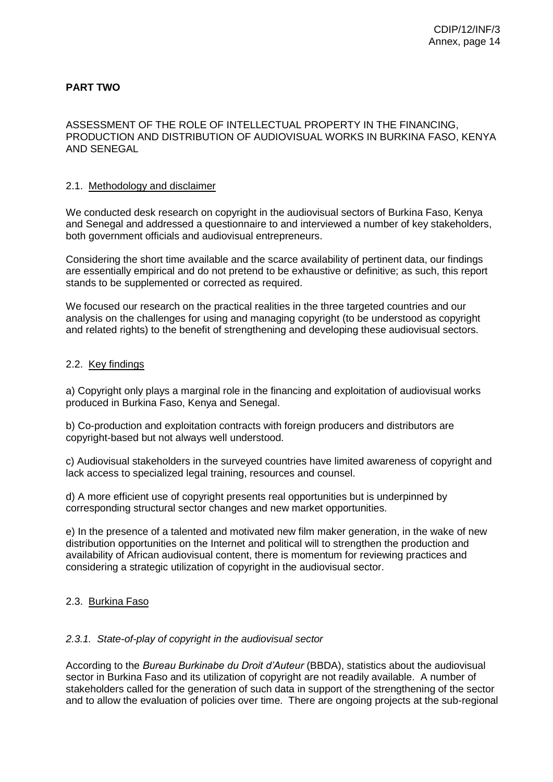## **PART TWO**

ASSESSMENT OF THE ROLE OF INTELLECTUAL PROPERTY IN THE FINANCING, PRODUCTION AND DISTRIBUTION OF AUDIOVISUAL WORKS IN BURKINA FASO, KENYA AND SENEGAL

#### 2.1. Methodology and disclaimer

We conducted desk research on copyright in the audiovisual sectors of Burkina Faso, Kenya and Senegal and addressed a questionnaire to and interviewed a number of key stakeholders, both government officials and audiovisual entrepreneurs.

Considering the short time available and the scarce availability of pertinent data, our findings are essentially empirical and do not pretend to be exhaustive or definitive; as such, this report stands to be supplemented or corrected as required.

We focused our research on the practical realities in the three targeted countries and our analysis on the challenges for using and managing copyright (to be understood as copyright and related rights) to the benefit of strengthening and developing these audiovisual sectors.

#### 2.2. Key findings

a) Copyright only plays a marginal role in the financing and exploitation of audiovisual works produced in Burkina Faso, Kenya and Senegal.

b) Co-production and exploitation contracts with foreign producers and distributors are copyright-based but not always well understood.

c) Audiovisual stakeholders in the surveyed countries have limited awareness of copyright and lack access to specialized legal training, resources and counsel.

d) A more efficient use of copyright presents real opportunities but is underpinned by corresponding structural sector changes and new market opportunities.

e) In the presence of a talented and motivated new film maker generation, in the wake of new distribution opportunities on the Internet and political will to strengthen the production and availability of African audiovisual content, there is momentum for reviewing practices and considering a strategic utilization of copyright in the audiovisual sector.

#### 2.3. Burkina Faso

#### *2.3.1. State-of-play of copyright in the audiovisual sector*

According to the *Bureau Burkinabe du Droit d'Auteur* (BBDA), statistics about the audiovisual sector in Burkina Faso and its utilization of copyright are not readily available. A number of stakeholders called for the generation of such data in support of the strengthening of the sector and to allow the evaluation of policies over time. There are ongoing projects at the sub-regional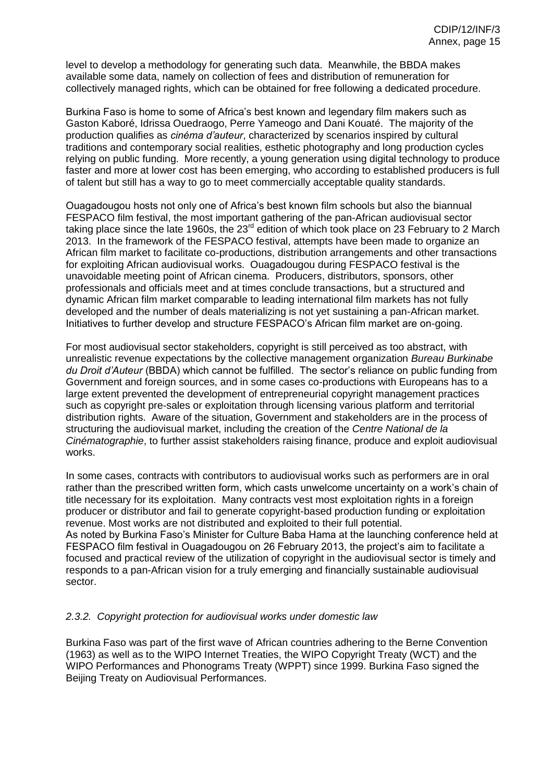level to develop a methodology for generating such data. Meanwhile, the BBDA makes available some data, namely on collection of fees and distribution of remuneration for collectively managed rights, which can be obtained for free following a dedicated procedure.

Burkina Faso is home to some of Africa's best known and legendary film makers such as Gaston Kaboré, Idrissa Ouedraogo, Perre Yameogo and Dani Kouaté. The majority of the production qualifies as *cinéma d'auteur*, characterized by scenarios inspired by cultural traditions and contemporary social realities, esthetic photography and long production cycles relying on public funding. More recently, a young generation using digital technology to produce faster and more at lower cost has been emerging, who according to established producers is full of talent but still has a way to go to meet commercially acceptable quality standards.

Ouagadougou hosts not only one of Africa's best known film schools but also the biannual FESPACO film festival, the most important gathering of the pan-African audiovisual sector taking place since the late 1960s, the 23<sup>rd</sup> edition of which took place on 23 February to 2 March 2013. In the framework of the FESPACO festival, attempts have been made to organize an African film market to facilitate co-productions, distribution arrangements and other transactions for exploiting African audiovisual works. Ouagadougou during FESPACO festival is the unavoidable meeting point of African cinema. Producers, distributors, sponsors, other professionals and officials meet and at times conclude transactions, but a structured and dynamic African film market comparable to leading international film markets has not fully developed and the number of deals materializing is not yet sustaining a pan-African market. Initiatives to further develop and structure FESPACO's African film market are on-going.

For most audiovisual sector stakeholders, copyright is still perceived as too abstract, with unrealistic revenue expectations by the collective management organization *Bureau Burkinabe du Droit d'Auteur* (BBDA) which cannot be fulfilled. The sector's reliance on public funding from Government and foreign sources, and in some cases co-productions with Europeans has to a large extent prevented the development of entrepreneurial copyright management practices such as copyright pre-sales or exploitation through licensing various platform and territorial distribution rights. Aware of the situation, Government and stakeholders are in the process of structuring the audiovisual market, including the creation of the *Centre National de la Cinématographie*, to further assist stakeholders raising finance, produce and exploit audiovisual works.

In some cases, contracts with contributors to audiovisual works such as performers are in oral rather than the prescribed written form, which casts unwelcome uncertainty on a work's chain of title necessary for its exploitation. Many contracts vest most exploitation rights in a foreign producer or distributor and fail to generate copyright-based production funding or exploitation revenue. Most works are not distributed and exploited to their full potential. As noted by Burkina Faso's Minister for Culture Baba Hama at the launching conference held at FESPACO film festival in Ouagadougou on 26 February 2013, the project's aim to facilitate a focused and practical review of the utilization of copyright in the audiovisual sector is timely and responds to a pan-African vision for a truly emerging and financially sustainable audiovisual sector.

#### *2.3.2. Copyright protection for audiovisual works under domestic law*

Burkina Faso was part of the first wave of African countries adhering to the Berne Convention (1963) as well as to the WIPO Internet Treaties, the WIPO Copyright Treaty (WCT) and the WIPO Performances and Phonograms Treaty (WPPT) since 1999. Burkina Faso signed the Beijing Treaty on Audiovisual Performances.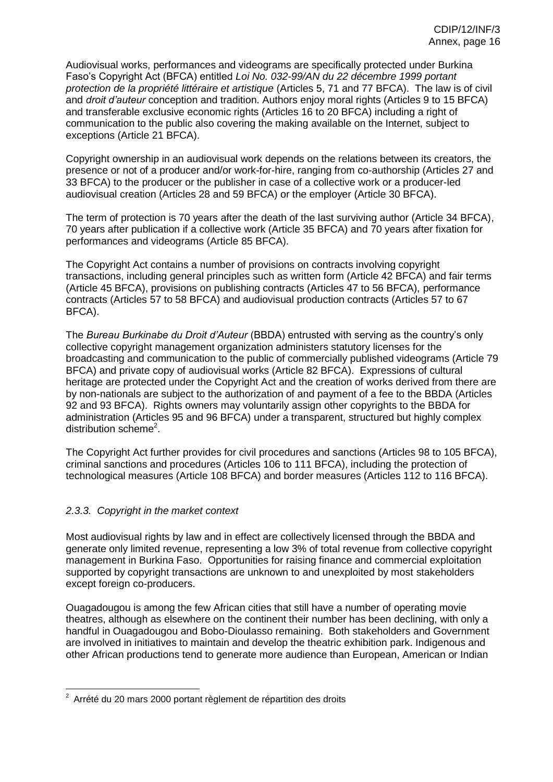Audiovisual works, performances and videograms are specifically protected under Burkina Faso's Copyright Act (BFCA) entitled *Loi No. 032-99/AN du 22 décembre 1999 portant protection de la propriété littéraire et artistique* (Articles 5, 71 and 77 BFCA). The law is of civil and *droit d'auteur* conception and tradition. Authors enjoy moral rights (Articles 9 to 15 BFCA) and transferable exclusive economic rights (Articles 16 to 20 BFCA) including a right of communication to the public also covering the making available on the Internet, subject to exceptions (Article 21 BFCA).

Copyright ownership in an audiovisual work depends on the relations between its creators, the presence or not of a producer and/or work-for-hire, ranging from co-authorship (Articles 27 and 33 BFCA) to the producer or the publisher in case of a collective work or a producer-led audiovisual creation (Articles 28 and 59 BFCA) or the employer (Article 30 BFCA).

The term of protection is 70 years after the death of the last surviving author (Article 34 BFCA), 70 years after publication if a collective work (Article 35 BFCA) and 70 years after fixation for performances and videograms (Article 85 BFCA).

The Copyright Act contains a number of provisions on contracts involving copyright transactions, including general principles such as written form (Article 42 BFCA) and fair terms (Article 45 BFCA), provisions on publishing contracts (Articles 47 to 56 BFCA), performance contracts (Articles 57 to 58 BFCA) and audiovisual production contracts (Articles 57 to 67 BFCA).

The *Bureau Burkinabe du Droit d'Auteur* (BBDA) entrusted with serving as the country's only collective copyright management organization administers statutory licenses for the broadcasting and communication to the public of commercially published videograms (Article 79 BFCA) and private copy of audiovisual works (Article 82 BFCA). Expressions of cultural heritage are protected under the Copyright Act and the creation of works derived from there are by non-nationals are subject to the authorization of and payment of a fee to the BBDA (Articles 92 and 93 BFCA). Rights owners may voluntarily assign other copyrights to the BBDA for administration (Articles 95 and 96 BFCA) under a transparent, structured but highly complex distribution scheme<sup>2</sup>.

The Copyright Act further provides for civil procedures and sanctions (Articles 98 to 105 BFCA), criminal sanctions and procedures (Articles 106 to 111 BFCA), including the protection of technological measures (Article 108 BFCA) and border measures (Articles 112 to 116 BFCA).

#### *2.3.3. Copyright in the market context*

Most audiovisual rights by law and in effect are collectively licensed through the BBDA and generate only limited revenue, representing a low 3% of total revenue from collective copyright management in Burkina Faso. Opportunities for raising finance and commercial exploitation supported by copyright transactions are unknown to and unexploited by most stakeholders except foreign co-producers.

Ouagadougou is among the few African cities that still have a number of operating movie theatres, although as elsewhere on the continent their number has been declining, with only a handful in Ouagadougou and Bobo-Dioulasso remaining. Both stakeholders and Government are involved in initiatives to maintain and develop the theatric exhibition park. Indigenous and other African productions tend to generate more audience than European, American or Indian

 $2$  Arrété du 20 mars 2000 portant règlement de répartition des droits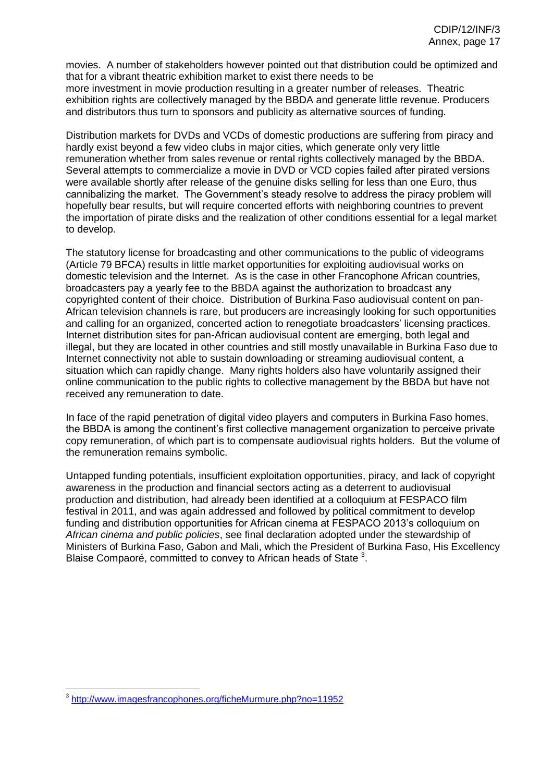movies. A number of stakeholders however pointed out that distribution could be optimized and that for a vibrant theatric exhibition market to exist there needs to be more investment in movie production resulting in a greater number of releases. Theatric exhibition rights are collectively managed by the BBDA and generate little revenue. Producers and distributors thus turn to sponsors and publicity as alternative sources of funding.

Distribution markets for DVDs and VCDs of domestic productions are suffering from piracy and hardly exist beyond a few video clubs in major cities, which generate only very little remuneration whether from sales revenue or rental rights collectively managed by the BBDA. Several attempts to commercialize a movie in DVD or VCD copies failed after pirated versions were available shortly after release of the genuine disks selling for less than one Euro, thus cannibalizing the market. The Government's steady resolve to address the piracy problem will hopefully bear results, but will require concerted efforts with neighboring countries to prevent the importation of pirate disks and the realization of other conditions essential for a legal market to develop.

The statutory license for broadcasting and other communications to the public of videograms (Article 79 BFCA) results in little market opportunities for exploiting audiovisual works on domestic television and the Internet. As is the case in other Francophone African countries, broadcasters pay a yearly fee to the BBDA against the authorization to broadcast any copyrighted content of their choice. Distribution of Burkina Faso audiovisual content on pan-African television channels is rare, but producers are increasingly looking for such opportunities and calling for an organized, concerted action to renegotiate broadcasters' licensing practices. Internet distribution sites for pan-African audiovisual content are emerging, both legal and illegal, but they are located in other countries and still mostly unavailable in Burkina Faso due to Internet connectivity not able to sustain downloading or streaming audiovisual content, a situation which can rapidly change. Many rights holders also have voluntarily assigned their online communication to the public rights to collective management by the BBDA but have not received any remuneration to date.

In face of the rapid penetration of digital video players and computers in Burkina Faso homes, the BBDA is among the continent's first collective management organization to perceive private copy remuneration, of which part is to compensate audiovisual rights holders. But the volume of the remuneration remains symbolic.

Untapped funding potentials, insufficient exploitation opportunities, piracy, and lack of copyright awareness in the production and financial sectors acting as a deterrent to audiovisual production and distribution, had already been identified at a colloquium at FESPACO film festival in 2011, and was again addressed and followed by political commitment to develop funding and distribution opportunities for African cinema at FESPACO 2013's colloquium on *African cinema and public policies*, see final declaration adopted under the stewardship of Ministers of Burkina Faso, Gabon and Mali, which the President of Burkina Faso, His Excellency Blaise Compaoré, committed to convey to African heads of State  $3$ .

 3 <http://www.imagesfrancophones.org/ficheMurmure.php?no=11952>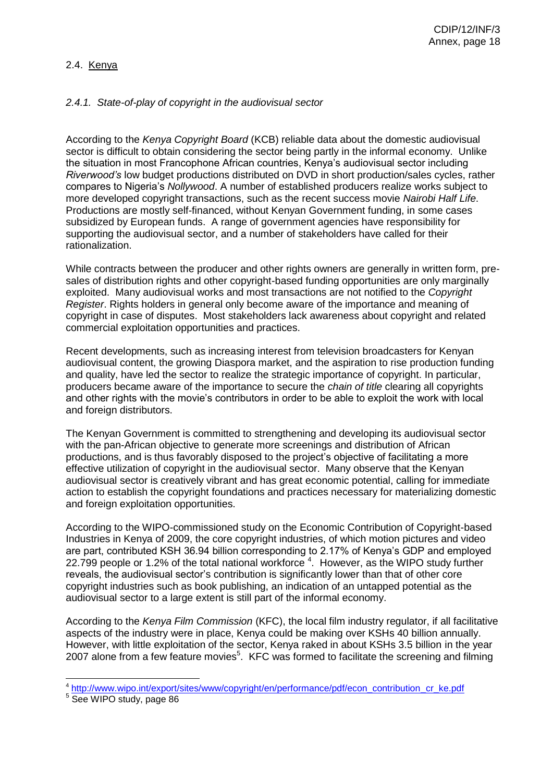### 2.4. Kenya

### *2.4.1. State-of-play of copyright in the audiovisual sector*

According to the *Kenya Copyright Board* (KCB) reliable data about the domestic audiovisual sector is difficult to obtain considering the sector being partly in the informal economy. Unlike the situation in most Francophone African countries, Kenya's audiovisual sector including *Riverwood's* low budget productions distributed on DVD in short production/sales cycles, rather compares to Nigeria's *Nollywood*. A number of established producers realize works subject to more developed copyright transactions, such as the recent success movie *Nairobi Half Life*. Productions are mostly self-financed, without Kenyan Government funding, in some cases subsidized by European funds. A range of government agencies have responsibility for supporting the audiovisual sector, and a number of stakeholders have called for their rationalization.

While contracts between the producer and other rights owners are generally in written form, presales of distribution rights and other copyright-based funding opportunities are only marginally exploited. Many audiovisual works and most transactions are not notified to the *Copyright Register*. Rights holders in general only become aware of the importance and meaning of copyright in case of disputes. Most stakeholders lack awareness about copyright and related commercial exploitation opportunities and practices.

Recent developments, such as increasing interest from television broadcasters for Kenyan audiovisual content, the growing Diaspora market, and the aspiration to rise production funding and quality, have led the sector to realize the strategic importance of copyright. In particular, producers became aware of the importance to secure the *chain of title* clearing all copyrights and other rights with the movie's contributors in order to be able to exploit the work with local and foreign distributors.

The Kenyan Government is committed to strengthening and developing its audiovisual sector with the pan-African objective to generate more screenings and distribution of African productions, and is thus favorably disposed to the project's objective of facilitating a more effective utilization of copyright in the audiovisual sector. Many observe that the Kenyan audiovisual sector is creatively vibrant and has great economic potential, calling for immediate action to establish the copyright foundations and practices necessary for materializing domestic and foreign exploitation opportunities.

According to the WIPO-commissioned study on the Economic Contribution of Copyright-based Industries in Kenya of 2009, the core copyright industries, of which motion pictures and video are part, contributed KSH 36.94 billion corresponding to 2.17% of Kenya's GDP and employed 22.799 people or 1.2% of the total national workforce  $4$ . However, as the WIPO study further reveals, the audiovisual sector's contribution is significantly lower than that of other core copyright industries such as book publishing, an indication of an untapped potential as the audiovisual sector to a large extent is still part of the informal economy.

According to the *Kenya Film Commission* (KFC), the local film industry regulator, if all facilitative aspects of the industry were in place, Kenya could be making over KSHs 40 billion annually. However, with little exploitation of the sector, Kenya raked in about KSHs 3.5 billion in the year 2007 alone from a few feature movies $5$ . KFC was formed to facilitate the screening and filming

 <sup>4</sup> [http://www.wipo.int/export/sites/www/copyright/en/performance/pdf/econ\\_contribution\\_cr\\_ke.pdf](http://www.wipo.int/export/sites/www/copyright/en/performance/pdf/econ_contribution_cr_ke.pdf)

<sup>5</sup> See WIPO study, page 86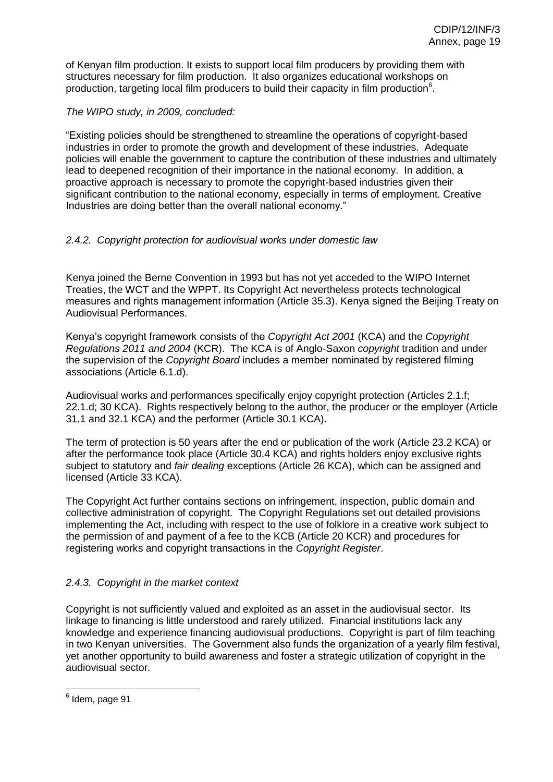of Kenyan film production. It exists to support local film producers by providing them with structures necessary for film production. It also organizes educational workshops on production, targeting local film producers to build their capacity in film production $^6$ .

*The WIPO study, in 2009, concluded:*

"Existing policies should be strengthened to streamline the operations of copyright-based industries in order to promote the growth and development of these industries. Adequate policies will enable the government to capture the contribution of these industries and ultimately lead to deepened recognition of their importance in the national economy. In addition, a proactive approach is necessary to promote the copyright-based industries given their significant contribution to the national economy, especially in terms of employment. Creative Industries are doing better than the overall national economy."

## *2.4.2. Copyright protection for audiovisual works under domestic law*

Kenya joined the Berne Convention in 1993 but has not yet acceded to the WIPO Internet Treaties, the WCT and the WPPT. Its Copyright Act nevertheless protects technological measures and rights management information (Article 35.3). Kenya signed the Beijing Treaty on Audiovisual Performances.

Kenya's copyright framework consists of the *Copyright Act 2001* (KCA) and the *Copyright Regulations 2011 and 2004* (KCR). The KCA is of Anglo-Saxon *copyright* tradition and under the supervision of the *Copyright Board* includes a member nominated by registered filming associations (Article 6.1.d).

Audiovisual works and performances specifically enjoy copyright protection (Articles 2.1.f; 22.1.d; 30 KCA). Rights respectively belong to the author, the producer or the employer (Article 31.1 and 32.1 KCA) and the performer (Article 30.1 KCA).

The term of protection is 50 years after the end or publication of the work (Article 23.2 KCA) or after the performance took place (Article 30.4 KCA) and rights holders enjoy exclusive rights subject to statutory and *fair dealing* exceptions (Article 26 KCA), which can be assigned and licensed (Article 33 KCA).

The Copyright Act further contains sections on infringement, inspection, public domain and collective administration of copyright. The Copyright Regulations set out detailed provisions implementing the Act, including with respect to the use of folklore in a creative work subject to the permission of and payment of a fee to the KCB (Article 20 KCR) and procedures for registering works and copyright transactions in the *Copyright Register*.

## *2.4.3. Copyright in the market context*

Copyright is not sufficiently valued and exploited as an asset in the audiovisual sector. Its linkage to financing is little understood and rarely utilized. Financial institutions lack any knowledge and experience financing audiovisual productions. Copyright is part of film teaching in two Kenyan universities. The Government also funds the organization of a yearly film festival, yet another opportunity to build awareness and foster a strategic utilization of copyright in the audiovisual sector.

<sup>&</sup>lt;u>e</u><br>Idem, page 91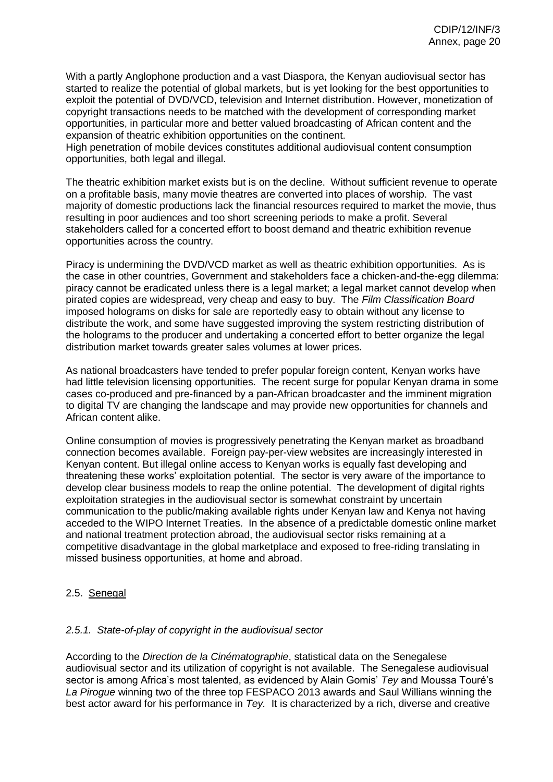With a partly Anglophone production and a vast Diaspora, the Kenyan audiovisual sector has started to realize the potential of global markets, but is yet looking for the best opportunities to exploit the potential of DVD/VCD, television and Internet distribution. However, monetization of copyright transactions needs to be matched with the development of corresponding market opportunities, in particular more and better valued broadcasting of African content and the expansion of theatric exhibition opportunities on the continent.

High penetration of mobile devices constitutes additional audiovisual content consumption opportunities, both legal and illegal.

The theatric exhibition market exists but is on the decline. Without sufficient revenue to operate on a profitable basis, many movie theatres are converted into places of worship. The vast majority of domestic productions lack the financial resources required to market the movie, thus resulting in poor audiences and too short screening periods to make a profit. Several stakeholders called for a concerted effort to boost demand and theatric exhibition revenue opportunities across the country.

Piracy is undermining the DVD/VCD market as well as theatric exhibition opportunities. As is the case in other countries, Government and stakeholders face a chicken-and-the-egg dilemma: piracy cannot be eradicated unless there is a legal market; a legal market cannot develop when pirated copies are widespread, very cheap and easy to buy. The *Film Classification Board* imposed holograms on disks for sale are reportedly easy to obtain without any license to distribute the work, and some have suggested improving the system restricting distribution of the holograms to the producer and undertaking a concerted effort to better organize the legal distribution market towards greater sales volumes at lower prices.

As national broadcasters have tended to prefer popular foreign content, Kenyan works have had little television licensing opportunities. The recent surge for popular Kenyan drama in some cases co-produced and pre-financed by a pan-African broadcaster and the imminent migration to digital TV are changing the landscape and may provide new opportunities for channels and African content alike.

Online consumption of movies is progressively penetrating the Kenyan market as broadband connection becomes available. Foreign pay-per-view websites are increasingly interested in Kenyan content. But illegal online access to Kenyan works is equally fast developing and threatening these works' exploitation potential. The sector is very aware of the importance to develop clear business models to reap the online potential. The development of digital rights exploitation strategies in the audiovisual sector is somewhat constraint by uncertain communication to the public/making available rights under Kenyan law and Kenya not having acceded to the WIPO Internet Treaties. In the absence of a predictable domestic online market and national treatment protection abroad, the audiovisual sector risks remaining at a competitive disadvantage in the global marketplace and exposed to free-riding translating in missed business opportunities, at home and abroad.

## 2.5. Senegal

#### *2.5.1. State-of-play of copyright in the audiovisual sector*

According to the *Direction de la Cinématographie*, statistical data on the Senegalese audiovisual sector and its utilization of copyright is not available. The Senegalese audiovisual sector is among Africa's most talented, as evidenced by Alain Gomis' *Tey* and Moussa Touré's *La Pirogue* winning two of the three top FESPACO 2013 awards and Saul Willians winning the best actor award for his performance in *Tey.* It is characterized by a rich, diverse and creative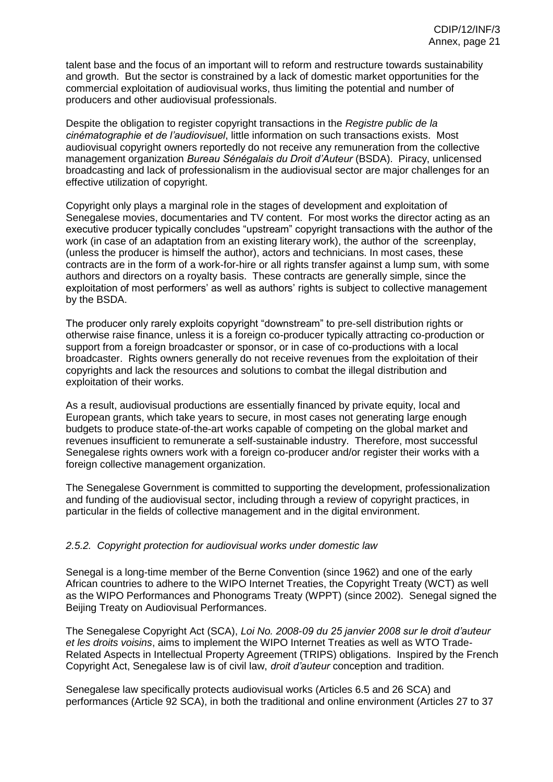talent base and the focus of an important will to reform and restructure towards sustainability and growth. But the sector is constrained by a lack of domestic market opportunities for the commercial exploitation of audiovisual works, thus limiting the potential and number of producers and other audiovisual professionals.

Despite the obligation to register copyright transactions in the *Registre public de la cinématographie et de l'audiovisuel*, little information on such transactions exists. Most audiovisual copyright owners reportedly do not receive any remuneration from the collective management organization *Bureau Sénégalais du Droit d'Auteur* (BSDA). Piracy, unlicensed broadcasting and lack of professionalism in the audiovisual sector are major challenges for an effective utilization of copyright.

Copyright only plays a marginal role in the stages of development and exploitation of Senegalese movies, documentaries and TV content. For most works the director acting as an executive producer typically concludes "upstream" copyright transactions with the author of the work (in case of an adaptation from an existing literary work), the author of the screenplay, (unless the producer is himself the author), actors and technicians. In most cases, these contracts are in the form of a work-for-hire or all rights transfer against a lump sum, with some authors and directors on a royalty basis. These contracts are generally simple, since the exploitation of most performers' as well as authors' rights is subject to collective management by the BSDA.

The producer only rarely exploits copyright "downstream" to pre-sell distribution rights or otherwise raise finance, unless it is a foreign co-producer typically attracting co-production or support from a foreign broadcaster or sponsor, or in case of co-productions with a local broadcaster. Rights owners generally do not receive revenues from the exploitation of their copyrights and lack the resources and solutions to combat the illegal distribution and exploitation of their works.

As a result, audiovisual productions are essentially financed by private equity, local and European grants, which take years to secure, in most cases not generating large enough budgets to produce state-of-the-art works capable of competing on the global market and revenues insufficient to remunerate a self-sustainable industry. Therefore, most successful Senegalese rights owners work with a foreign co-producer and/or register their works with a foreign collective management organization.

The Senegalese Government is committed to supporting the development, professionalization and funding of the audiovisual sector, including through a review of copyright practices, in particular in the fields of collective management and in the digital environment.

#### *2.5.2. Copyright protection for audiovisual works under domestic law*

Senegal is a long-time member of the Berne Convention (since 1962) and one of the early African countries to adhere to the WIPO Internet Treaties, the Copyright Treaty (WCT) as well as the WIPO Performances and Phonograms Treaty (WPPT) (since 2002). Senegal signed the Beijing Treaty on Audiovisual Performances.

The Senegalese Copyright Act (SCA), *Loi No. 2008-09 du 25 janvier 2008 sur le droit d'auteur et les droits voisins*, aims to implement the WIPO Internet Treaties as well as WTO Trade-Related Aspects in Intellectual Property Agreement (TRIPS) obligations. Inspired by the French Copyright Act, Senegalese law is of civil law, *droit d'auteur* conception and tradition.

Senegalese law specifically protects audiovisual works (Articles 6.5 and 26 SCA) and performances (Article 92 SCA), in both the traditional and online environment (Articles 27 to 37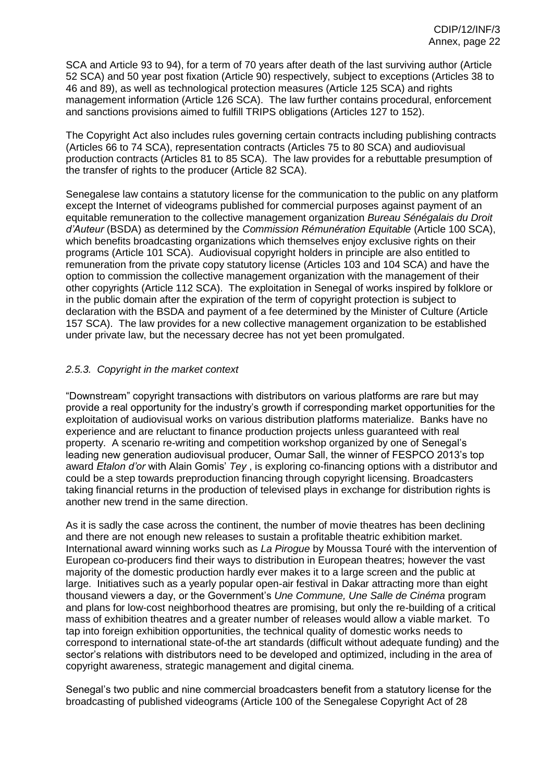SCA and Article 93 to 94), for a term of 70 years after death of the last surviving author (Article 52 SCA) and 50 year post fixation (Article 90) respectively, subject to exceptions (Articles 38 to 46 and 89), as well as technological protection measures (Article 125 SCA) and rights management information (Article 126 SCA). The law further contains procedural, enforcement and sanctions provisions aimed to fulfill TRIPS obligations (Articles 127 to 152).

The Copyright Act also includes rules governing certain contracts including publishing contracts (Articles 66 to 74 SCA), representation contracts (Articles 75 to 80 SCA) and audiovisual production contracts (Articles 81 to 85 SCA). The law provides for a rebuttable presumption of the transfer of rights to the producer (Article 82 SCA).

Senegalese law contains a statutory license for the communication to the public on any platform except the Internet of videograms published for commercial purposes against payment of an equitable remuneration to the collective management organization *Bureau Sénégalais du Droit d'Auteur* (BSDA) as determined by the *Commission Rémunération Equitable* (Article 100 SCA), which benefits broadcasting organizations which themselves enjoy exclusive rights on their programs (Article 101 SCA). Audiovisual copyright holders in principle are also entitled to remuneration from the private copy statutory license (Articles 103 and 104 SCA) and have the option to commission the collective management organization with the management of their other copyrights (Article 112 SCA). The exploitation in Senegal of works inspired by folklore or in the public domain after the expiration of the term of copyright protection is subject to declaration with the BSDA and payment of a fee determined by the Minister of Culture (Article 157 SCA). The law provides for a new collective management organization to be established under private law, but the necessary decree has not yet been promulgated.

## *2.5.3. Copyright in the market context*

"Downstream" copyright transactions with distributors on various platforms are rare but may provide a real opportunity for the industry's growth if corresponding market opportunities for the exploitation of audiovisual works on various distribution platforms materialize. Banks have no experience and are reluctant to finance production projects unless guaranteed with real property. A scenario re-writing and competition workshop organized by one of Senegal's leading new generation audiovisual producer, Oumar Sall, the winner of FESPCO 2013's top award *Etalon d'or* with Alain Gomis' *Tey* , is exploring co-financing options with a distributor and could be a step towards preproduction financing through copyright licensing. Broadcasters taking financial returns in the production of televised plays in exchange for distribution rights is another new trend in the same direction.

As it is sadly the case across the continent, the number of movie theatres has been declining and there are not enough new releases to sustain a profitable theatric exhibition market. International award winning works such as *La Pirogue* by Moussa Touré with the intervention of European co-producers find their ways to distribution in European theatres; however the vast majority of the domestic production hardly ever makes it to a large screen and the public at large. Initiatives such as a yearly popular open-air festival in Dakar attracting more than eight thousand viewers a day, or the Government's *Une Commune, Une Salle de Cinéma* program and plans for low-cost neighborhood theatres are promising, but only the re-building of a critical mass of exhibition theatres and a greater number of releases would allow a viable market. To tap into foreign exhibition opportunities, the technical quality of domestic works needs to correspond to international state-of-the art standards (difficult without adequate funding) and the sector's relations with distributors need to be developed and optimized, including in the area of copyright awareness, strategic management and digital cinema.

Senegal's two public and nine commercial broadcasters benefit from a statutory license for the broadcasting of published videograms (Article 100 of the Senegalese Copyright Act of 28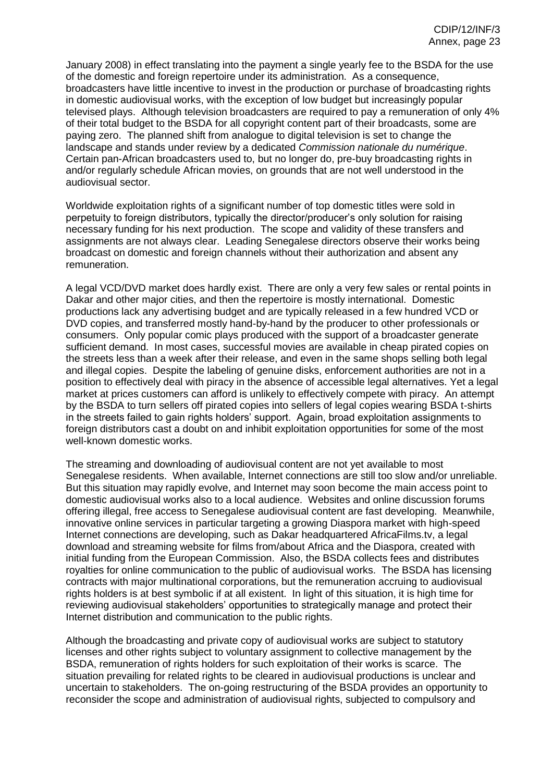January 2008) in effect translating into the payment a single yearly fee to the BSDA for the use of the domestic and foreign repertoire under its administration. As a consequence, broadcasters have little incentive to invest in the production or purchase of broadcasting rights in domestic audiovisual works, with the exception of low budget but increasingly popular televised plays. Although television broadcasters are required to pay a remuneration of only 4% of their total budget to the BSDA for all copyright content part of their broadcasts, some are paying zero. The planned shift from analogue to digital television is set to change the landscape and stands under review by a dedicated *Commission nationale du numérique*. Certain pan-African broadcasters used to, but no longer do, pre-buy broadcasting rights in and/or regularly schedule African movies, on grounds that are not well understood in the audiovisual sector.

Worldwide exploitation rights of a significant number of top domestic titles were sold in perpetuity to foreign distributors, typically the director/producer's only solution for raising necessary funding for his next production. The scope and validity of these transfers and assignments are not always clear. Leading Senegalese directors observe their works being broadcast on domestic and foreign channels without their authorization and absent any remuneration.

A legal VCD/DVD market does hardly exist. There are only a very few sales or rental points in Dakar and other major cities, and then the repertoire is mostly international. Domestic productions lack any advertising budget and are typically released in a few hundred VCD or DVD copies, and transferred mostly hand-by-hand by the producer to other professionals or consumers. Only popular comic plays produced with the support of a broadcaster generate sufficient demand. In most cases, successful movies are available in cheap pirated copies on the streets less than a week after their release, and even in the same shops selling both legal and illegal copies. Despite the labeling of genuine disks, enforcement authorities are not in a position to effectively deal with piracy in the absence of accessible legal alternatives. Yet a legal market at prices customers can afford is unlikely to effectively compete with piracy. An attempt by the BSDA to turn sellers off pirated copies into sellers of legal copies wearing BSDA t-shirts in the streets failed to gain rights holders' support. Again, broad exploitation assignments to foreign distributors cast a doubt on and inhibit exploitation opportunities for some of the most well-known domestic works.

The streaming and downloading of audiovisual content are not yet available to most Senegalese residents. When available, Internet connections are still too slow and/or unreliable. But this situation may rapidly evolve, and Internet may soon become the main access point to domestic audiovisual works also to a local audience. Websites and online discussion forums offering illegal, free access to Senegalese audiovisual content are fast developing. Meanwhile, innovative online services in particular targeting a growing Diaspora market with high-speed Internet connections are developing, such as Dakar headquartered AfricaFilms.tv, a legal download and streaming website for films from/about Africa and the Diaspora, created with initial funding from the European Commission. Also, the BSDA collects fees and distributes royalties for online communication to the public of audiovisual works. The BSDA has licensing contracts with major multinational corporations, but the remuneration accruing to audiovisual rights holders is at best symbolic if at all existent. In light of this situation, it is high time for reviewing audiovisual stakeholders' opportunities to strategically manage and protect their Internet distribution and communication to the public rights.

Although the broadcasting and private copy of audiovisual works are subject to statutory licenses and other rights subject to voluntary assignment to collective management by the BSDA, remuneration of rights holders for such exploitation of their works is scarce. The situation prevailing for related rights to be cleared in audiovisual productions is unclear and uncertain to stakeholders. The on-going restructuring of the BSDA provides an opportunity to reconsider the scope and administration of audiovisual rights, subjected to compulsory and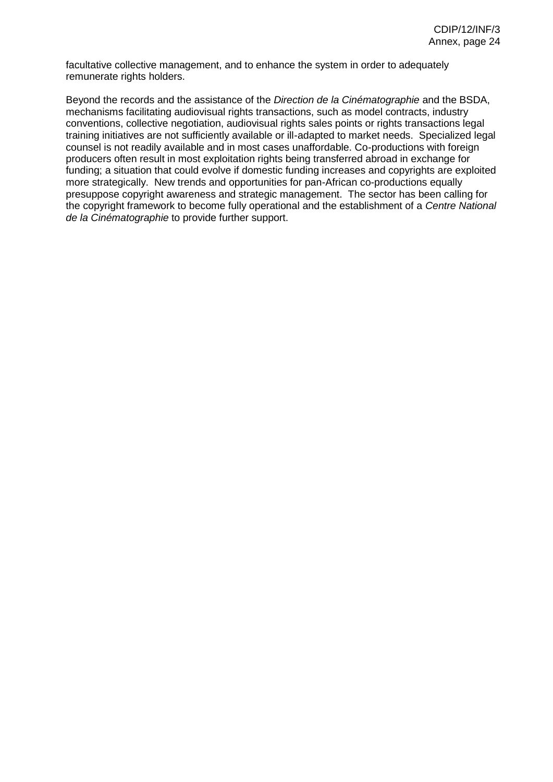facultative collective management, and to enhance the system in order to adequately remunerate rights holders.

Beyond the records and the assistance of the *Direction de la Cinématographie* and the BSDA, mechanisms facilitating audiovisual rights transactions, such as model contracts, industry conventions, collective negotiation, audiovisual rights sales points or rights transactions legal training initiatives are not sufficiently available or ill-adapted to market needs. Specialized legal counsel is not readily available and in most cases unaffordable. Co-productions with foreign producers often result in most exploitation rights being transferred abroad in exchange for funding; a situation that could evolve if domestic funding increases and copyrights are exploited more strategically. New trends and opportunities for pan-African co-productions equally presuppose copyright awareness and strategic management. The sector has been calling for the copyright framework to become fully operational and the establishment of a *Centre National de la Cinématographie* to provide further support.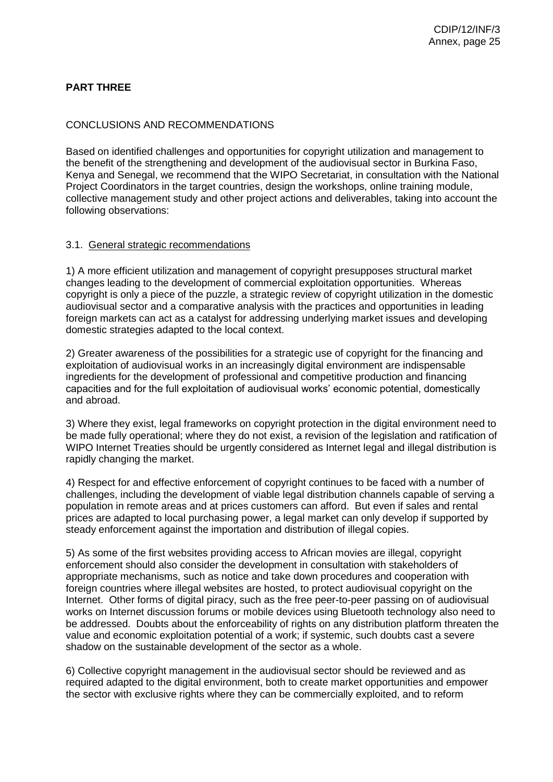## **PART THREE**

#### CONCLUSIONS AND RECOMMENDATIONS

Based on identified challenges and opportunities for copyright utilization and management to the benefit of the strengthening and development of the audiovisual sector in Burkina Faso, Kenya and Senegal, we recommend that the WIPO Secretariat, in consultation with the National Project Coordinators in the target countries, design the workshops, online training module, collective management study and other project actions and deliverables, taking into account the following observations:

#### 3.1. General strategic recommendations

1) A more efficient utilization and management of copyright presupposes structural market changes leading to the development of commercial exploitation opportunities. Whereas copyright is only a piece of the puzzle, a strategic review of copyright utilization in the domestic audiovisual sector and a comparative analysis with the practices and opportunities in leading foreign markets can act as a catalyst for addressing underlying market issues and developing domestic strategies adapted to the local context.

2) Greater awareness of the possibilities for a strategic use of copyright for the financing and exploitation of audiovisual works in an increasingly digital environment are indispensable ingredients for the development of professional and competitive production and financing capacities and for the full exploitation of audiovisual works' economic potential, domestically and abroad.

3) Where they exist, legal frameworks on copyright protection in the digital environment need to be made fully operational; where they do not exist, a revision of the legislation and ratification of WIPO Internet Treaties should be urgently considered as Internet legal and illegal distribution is rapidly changing the market.

4) Respect for and effective enforcement of copyright continues to be faced with a number of challenges, including the development of viable legal distribution channels capable of serving a population in remote areas and at prices customers can afford. But even if sales and rental prices are adapted to local purchasing power, a legal market can only develop if supported by steady enforcement against the importation and distribution of illegal copies.

5) As some of the first websites providing access to African movies are illegal, copyright enforcement should also consider the development in consultation with stakeholders of appropriate mechanisms, such as notice and take down procedures and cooperation with foreign countries where illegal websites are hosted, to protect audiovisual copyright on the Internet. Other forms of digital piracy, such as the free peer-to-peer passing on of audiovisual works on Internet discussion forums or mobile devices using Bluetooth technology also need to be addressed. Doubts about the enforceability of rights on any distribution platform threaten the value and economic exploitation potential of a work; if systemic, such doubts cast a severe shadow on the sustainable development of the sector as a whole.

6) Collective copyright management in the audiovisual sector should be reviewed and as required adapted to the digital environment, both to create market opportunities and empower the sector with exclusive rights where they can be commercially exploited, and to reform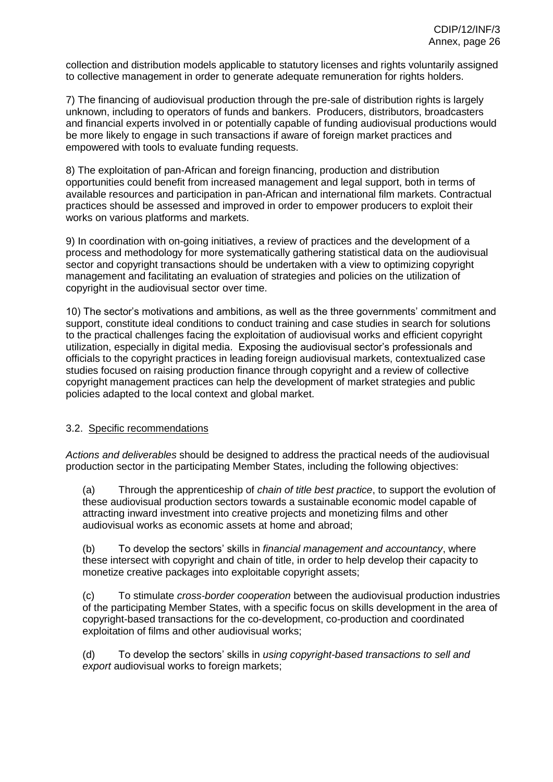collection and distribution models applicable to statutory licenses and rights voluntarily assigned to collective management in order to generate adequate remuneration for rights holders.

7) The financing of audiovisual production through the pre-sale of distribution rights is largely unknown, including to operators of funds and bankers. Producers, distributors, broadcasters and financial experts involved in or potentially capable of funding audiovisual productions would be more likely to engage in such transactions if aware of foreign market practices and empowered with tools to evaluate funding requests.

8) The exploitation of pan-African and foreign financing, production and distribution opportunities could benefit from increased management and legal support, both in terms of available resources and participation in pan-African and international film markets. Contractual practices should be assessed and improved in order to empower producers to exploit their works on various platforms and markets.

9) In coordination with on-going initiatives, a review of practices and the development of a process and methodology for more systematically gathering statistical data on the audiovisual sector and copyright transactions should be undertaken with a view to optimizing copyright management and facilitating an evaluation of strategies and policies on the utilization of copyright in the audiovisual sector over time.

10) The sector's motivations and ambitions, as well as the three governments' commitment and support, constitute ideal conditions to conduct training and case studies in search for solutions to the practical challenges facing the exploitation of audiovisual works and efficient copyright utilization, especially in digital media. Exposing the audiovisual sector's professionals and officials to the copyright practices in leading foreign audiovisual markets, contextualized case studies focused on raising production finance through copyright and a review of collective copyright management practices can help the development of market strategies and public policies adapted to the local context and global market.

#### 3.2. Specific recommendations

*Actions and deliverables* should be designed to address the practical needs of the audiovisual production sector in the participating Member States, including the following objectives:

(a) Through the apprenticeship of *chain of title best practice*, to support the evolution of these audiovisual production sectors towards a sustainable economic model capable of attracting inward investment into creative projects and monetizing films and other audiovisual works as economic assets at home and abroad;

(b) To develop the sectors' skills in *financial management and accountancy*, where these intersect with copyright and chain of title, in order to help develop their capacity to monetize creative packages into exploitable copyright assets;

(c) To stimulate *cross-border cooperation* between the audiovisual production industries of the participating Member States, with a specific focus on skills development in the area of copyright-based transactions for the co-development, co-production and coordinated exploitation of films and other audiovisual works;

(d) To develop the sectors' skills in *using copyright-based transactions to sell and export* audiovisual works to foreign markets;